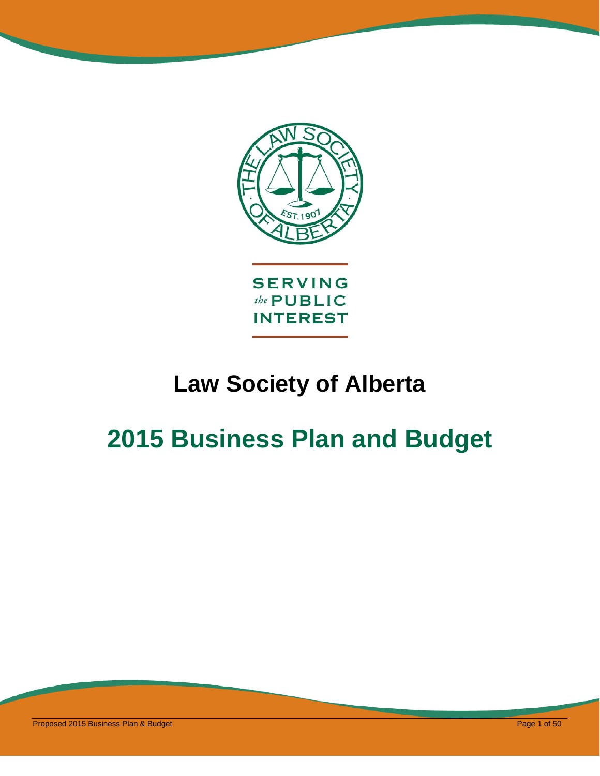

# **Law Society of Alberta**

# **2015 Business Plan and Budget**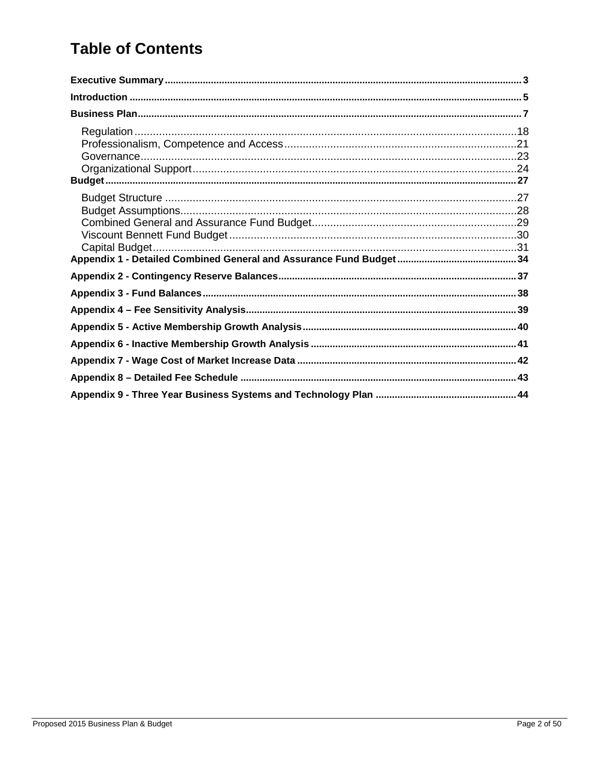# **Table of Contents**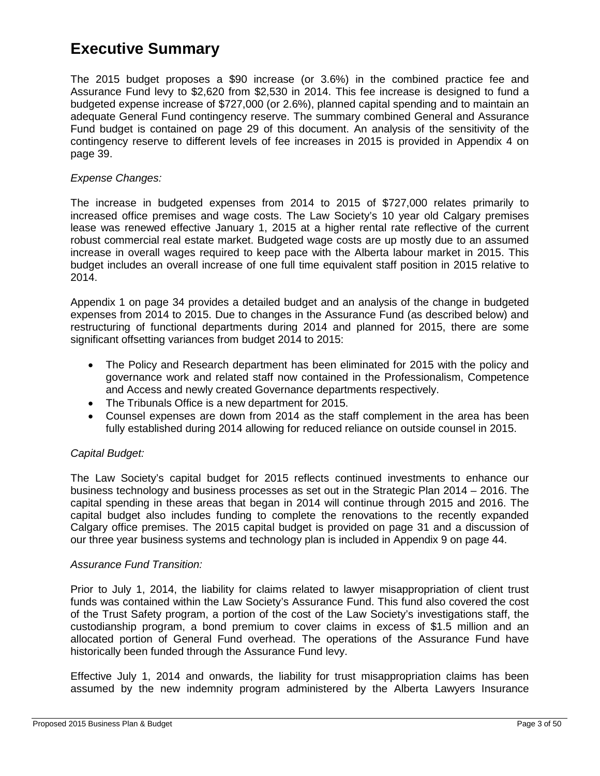## <span id="page-2-0"></span>**Executive Summary**

The 2015 budget proposes a \$90 increase (or 3.6%) in the combined practice fee and Assurance Fund levy to \$2,620 from \$2,530 in 2014. This fee increase is designed to fund a budgeted expense increase of \$727,000 (or 2.6%), planned capital spending and to maintain an adequate General Fund contingency reserve. The summary combined General and Assurance Fund budget is contained on page 29 of this document. An analysis of the sensitivity of the contingency reserve to different levels of fee increases in 2015 is provided in Appendix 4 on page 39.

#### *Expense Changes:*

The increase in budgeted expenses from 2014 to 2015 of \$727,000 relates primarily to increased office premises and wage costs. The Law Society's 10 year old Calgary premises lease was renewed effective January 1, 2015 at a higher rental rate reflective of the current robust commercial real estate market. Budgeted wage costs are up mostly due to an assumed increase in overall wages required to keep pace with the Alberta labour market in 2015. This budget includes an overall increase of one full time equivalent staff position in 2015 relative to 2014.

Appendix 1 on page 34 provides a detailed budget and an analysis of the change in budgeted expenses from 2014 to 2015. Due to changes in the Assurance Fund (as described below) and restructuring of functional departments during 2014 and planned for 2015, there are some significant offsetting variances from budget 2014 to 2015:

- The Policy and Research department has been eliminated for 2015 with the policy and governance work and related staff now contained in the Professionalism, Competence and Access and newly created Governance departments respectively.
- The Tribunals Office is a new department for 2015.
- Counsel expenses are down from 2014 as the staff complement in the area has been fully established during 2014 allowing for reduced reliance on outside counsel in 2015.

#### *Capital Budget:*

The Law Society's capital budget for 2015 reflects continued investments to enhance our business technology and business processes as set out in the Strategic Plan 2014 – 2016. The capital spending in these areas that began in 2014 will continue through 2015 and 2016. The capital budget also includes funding to complete the renovations to the recently expanded Calgary office premises. The 2015 capital budget is provided on page 31 and a discussion of our three year business systems and technology plan is included in Appendix 9 on page 44.

#### *Assurance Fund Transition:*

Prior to July 1, 2014, the liability for claims related to lawyer misappropriation of client trust funds was contained within the Law Society's Assurance Fund. This fund also covered the cost of the Trust Safety program, a portion of the cost of the Law Society's investigations staff, the custodianship program, a bond premium to cover claims in excess of \$1.5 million and an allocated portion of General Fund overhead. The operations of the Assurance Fund have historically been funded through the Assurance Fund levy.

Effective July 1, 2014 and onwards, the liability for trust misappropriation claims has been assumed by the new indemnity program administered by the Alberta Lawyers Insurance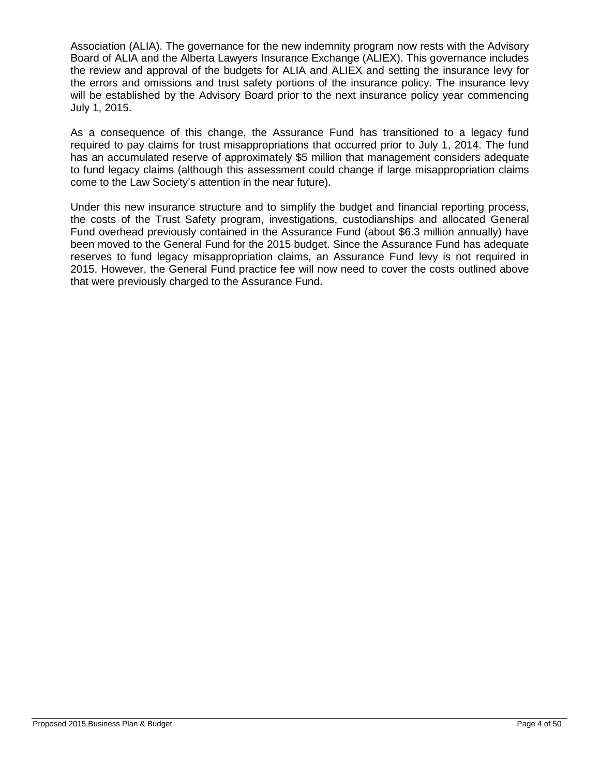Association (ALIA). The governance for the new indemnity program now rests with the Advisory Board of ALIA and the Alberta Lawyers Insurance Exchange (ALIEX). This governance includes the review and approval of the budgets for ALIA and ALIEX and setting the insurance levy for the errors and omissions and trust safety portions of the insurance policy. The insurance levy will be established by the Advisory Board prior to the next insurance policy year commencing July 1, 2015.

As a consequence of this change, the Assurance Fund has transitioned to a legacy fund required to pay claims for trust misappropriations that occurred prior to July 1, 2014. The fund has an accumulated reserve of approximately \$5 million that management considers adequate to fund legacy claims (although this assessment could change if large misappropriation claims come to the Law Society's attention in the near future).

Under this new insurance structure and to simplify the budget and financial reporting process, the costs of the Trust Safety program, investigations, custodianships and allocated General Fund overhead previously contained in the Assurance Fund (about \$6.3 million annually) have been moved to the General Fund for the 2015 budget. Since the Assurance Fund has adequate reserves to fund legacy misappropriation claims, an Assurance Fund levy is not required in 2015. However, the General Fund practice fee will now need to cover the costs outlined above that were previously charged to the Assurance Fund.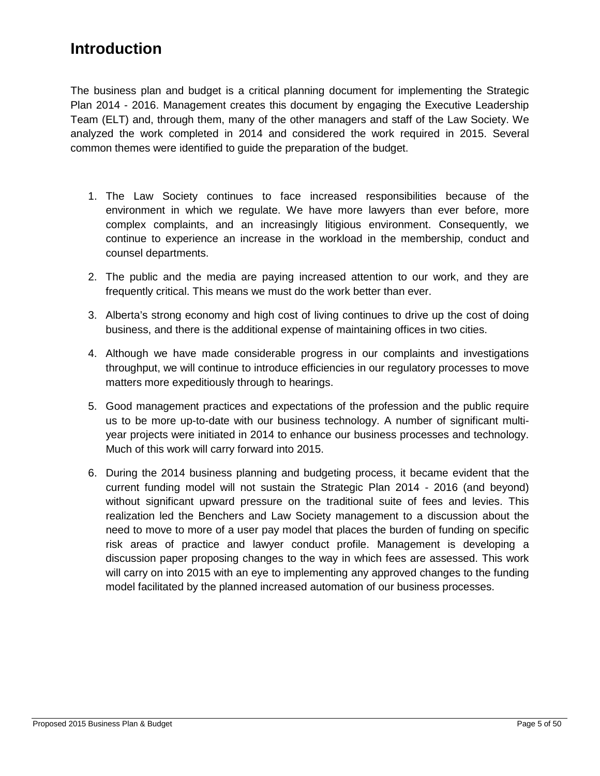# <span id="page-4-0"></span>**Introduction**

The business plan and budget is a critical planning document for implementing the Strategic Plan 2014 - 2016. Management creates this document by engaging the Executive Leadership Team (ELT) and, through them, many of the other managers and staff of the Law Society. We analyzed the work completed in 2014 and considered the work required in 2015. Several common themes were identified to guide the preparation of the budget.

- 1. The Law Society continues to face increased responsibilities because of the environment in which we regulate. We have more lawyers than ever before, more complex complaints, and an increasingly litigious environment. Consequently, we continue to experience an increase in the workload in the membership, conduct and counsel departments.
- 2. The public and the media are paying increased attention to our work, and they are frequently critical. This means we must do the work better than ever.
- 3. Alberta's strong economy and high cost of living continues to drive up the cost of doing business, and there is the additional expense of maintaining offices in two cities.
- 4. Although we have made considerable progress in our complaints and investigations throughput, we will continue to introduce efficiencies in our regulatory processes to move matters more expeditiously through to hearings.
- 5. Good management practices and expectations of the profession and the public require us to be more up-to-date with our business technology. A number of significant multiyear projects were initiated in 2014 to enhance our business processes and technology. Much of this work will carry forward into 2015.
- 6. During the 2014 business planning and budgeting process, it became evident that the current funding model will not sustain the Strategic Plan 2014 - 2016 (and beyond) without significant upward pressure on the traditional suite of fees and levies. This realization led the Benchers and Law Society management to a discussion about the need to move to more of a user pay model that places the burden of funding on specific risk areas of practice and lawyer conduct profile. Management is developing a discussion paper proposing changes to the way in which fees are assessed. This work will carry on into 2015 with an eye to implementing any approved changes to the funding model facilitated by the planned increased automation of our business processes.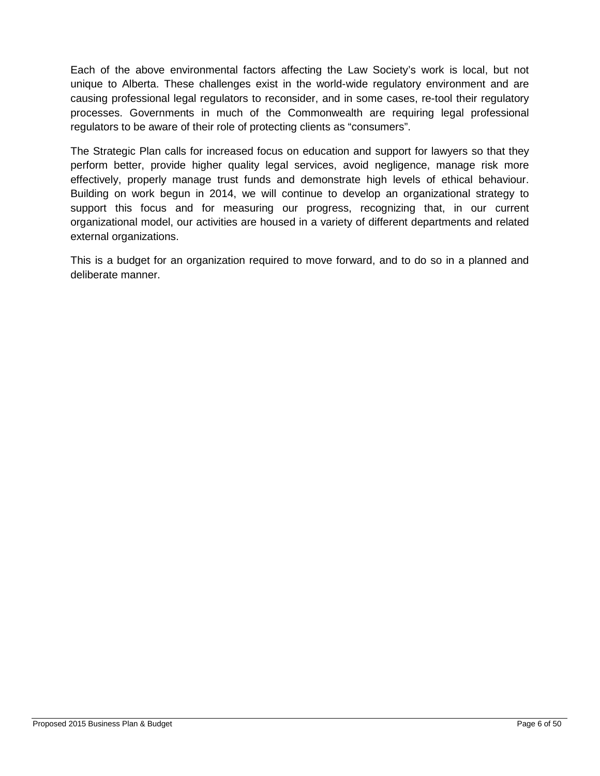Each of the above environmental factors affecting the Law Society's work is local, but not unique to Alberta. These challenges exist in the world-wide regulatory environment and are causing professional legal regulators to reconsider, and in some cases, re-tool their regulatory processes. Governments in much of the Commonwealth are requiring legal professional regulators to be aware of their role of protecting clients as "consumers".

The Strategic Plan calls for increased focus on education and support for lawyers so that they perform better, provide higher quality legal services, avoid negligence, manage risk more effectively, properly manage trust funds and demonstrate high levels of ethical behaviour. Building on work begun in 2014, we will continue to develop an organizational strategy to support this focus and for measuring our progress, recognizing that, in our current organizational model, our activities are housed in a variety of different departments and related external organizations.

This is a budget for an organization required to move forward, and to do so in a planned and deliberate manner.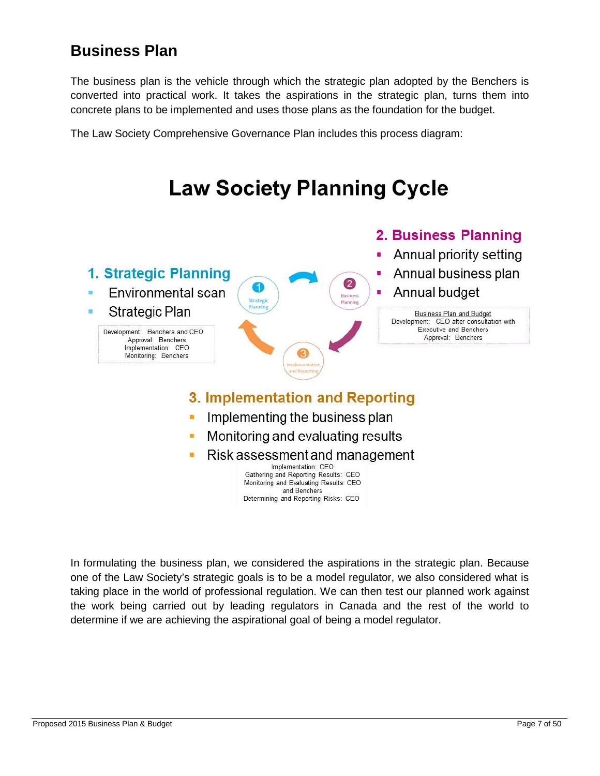# <span id="page-6-0"></span>**Business Plan**

The business plan is the vehicle through which the strategic plan adopted by the Benchers is converted into practical work. It takes the aspirations in the strategic plan, turns them into concrete plans to be implemented and uses those plans as the foundation for the budget.

The Law Society Comprehensive Governance Plan includes this process diagram:



In formulating the business plan, we considered the aspirations in the strategic plan. Because one of the Law Society's strategic goals is to be a model regulator, we also considered what is taking place in the world of professional regulation. We can then test our planned work against the work being carried out by leading regulators in Canada and the rest of the world to determine if we are achieving the aspirational goal of being a model regulator.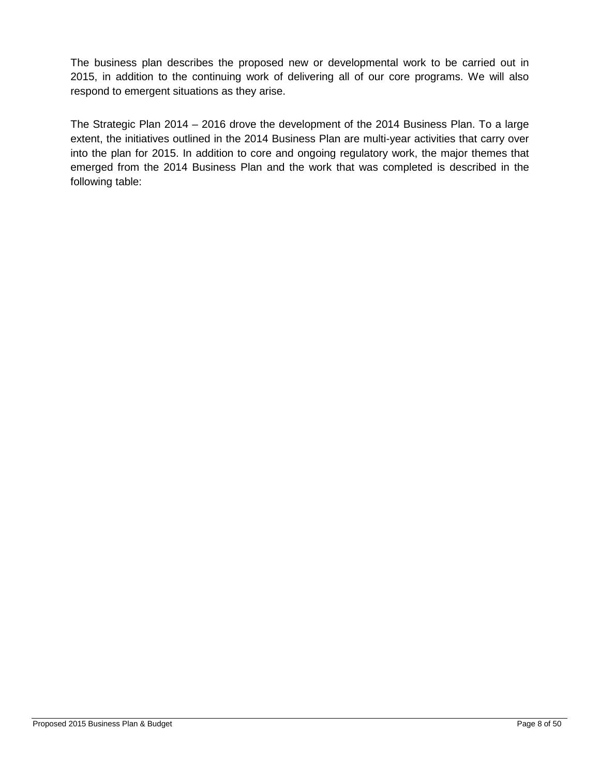The business plan describes the proposed new or developmental work to be carried out in 2015, in addition to the continuing work of delivering all of our core programs. We will also respond to emergent situations as they arise.

The Strategic Plan 2014 – 2016 drove the development of the 2014 Business Plan. To a large extent, the initiatives outlined in the 2014 Business Plan are multi-year activities that carry over into the plan for 2015. In addition to core and ongoing regulatory work, the major themes that emerged from the 2014 Business Plan and the work that was completed is described in the following table: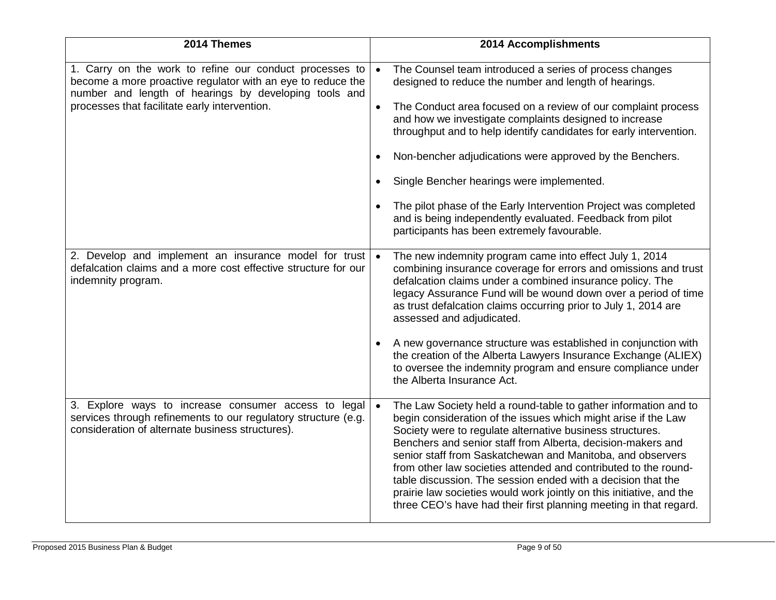| 2014 Themes                                                                                                                                                                                                                      | 2014 Accomplishments                                                                                                                                                                                                                                                                                                                                                                                                                                                                                                                                                                                                                                          |
|----------------------------------------------------------------------------------------------------------------------------------------------------------------------------------------------------------------------------------|---------------------------------------------------------------------------------------------------------------------------------------------------------------------------------------------------------------------------------------------------------------------------------------------------------------------------------------------------------------------------------------------------------------------------------------------------------------------------------------------------------------------------------------------------------------------------------------------------------------------------------------------------------------|
| 1. Carry on the work to refine our conduct processes to<br>become a more proactive regulator with an eye to reduce the<br>number and length of hearings by developing tools and<br>processes that facilitate early intervention. | The Counsel team introduced a series of process changes<br>$\bullet$<br>designed to reduce the number and length of hearings.<br>The Conduct area focused on a review of our complaint process<br>$\bullet$<br>and how we investigate complaints designed to increase<br>throughput and to help identify candidates for early intervention.<br>Non-bencher adjudications were approved by the Benchers.<br>$\bullet$<br>Single Bencher hearings were implemented.<br>The pilot phase of the Early Intervention Project was completed<br>$\bullet$<br>and is being independently evaluated. Feedback from pilot<br>participants has been extremely favourable. |
| 2. Develop and implement an insurance model for trust<br>defalcation claims and a more cost effective structure for our<br>indemnity program.                                                                                    | The new indemnity program came into effect July 1, 2014<br>$\bullet$<br>combining insurance coverage for errors and omissions and trust<br>defalcation claims under a combined insurance policy. The<br>legacy Assurance Fund will be wound down over a period of time<br>as trust defalcation claims occurring prior to July 1, 2014 are<br>assessed and adjudicated.<br>A new governance structure was established in conjunction with<br>$\bullet$<br>the creation of the Alberta Lawyers Insurance Exchange (ALIEX)<br>to oversee the indemnity program and ensure compliance under<br>the Alberta Insurance Act.                                         |
| 3. Explore ways to increase consumer access to legal<br>services through refinements to our regulatory structure (e.g.<br>consideration of alternate business structures).                                                       | The Law Society held a round-table to gather information and to<br>$\bullet$<br>begin consideration of the issues which might arise if the Law<br>Society were to regulate alternative business structures.<br>Benchers and senior staff from Alberta, decision-makers and<br>senior staff from Saskatchewan and Manitoba, and observers<br>from other law societies attended and contributed to the round-<br>table discussion. The session ended with a decision that the<br>prairie law societies would work jointly on this initiative, and the<br>three CEO's have had their first planning meeting in that regard.                                      |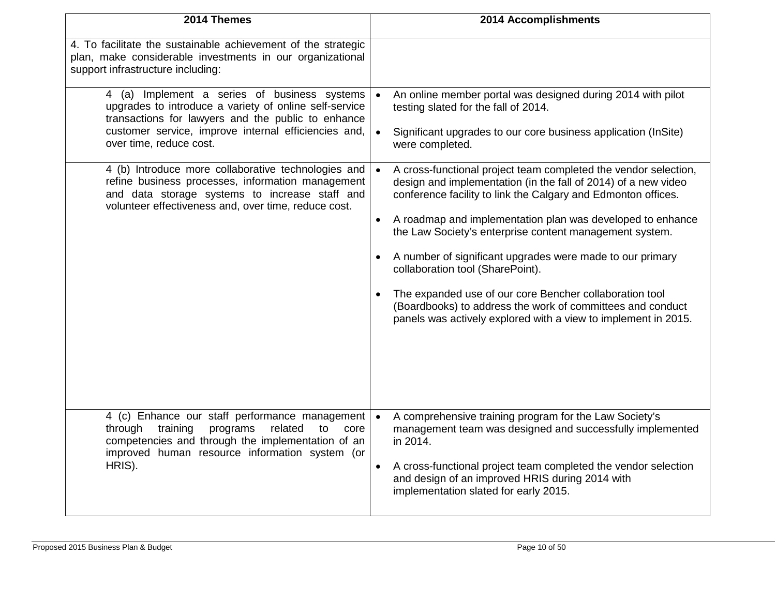| 2014 Themes                                                                                                                                                                                                                                     | 2014 Accomplishments                                                                                                                                                                                                                                                                                                                                                                                                                                                                                                                                                                                                                                           |
|-------------------------------------------------------------------------------------------------------------------------------------------------------------------------------------------------------------------------------------------------|----------------------------------------------------------------------------------------------------------------------------------------------------------------------------------------------------------------------------------------------------------------------------------------------------------------------------------------------------------------------------------------------------------------------------------------------------------------------------------------------------------------------------------------------------------------------------------------------------------------------------------------------------------------|
| 4. To facilitate the sustainable achievement of the strategic<br>plan, make considerable investments in our organizational<br>support infrastructure including:                                                                                 |                                                                                                                                                                                                                                                                                                                                                                                                                                                                                                                                                                                                                                                                |
| 4 (a) Implement a series of business systems<br>upgrades to introduce a variety of online self-service<br>transactions for lawyers and the public to enhance<br>customer service, improve internal efficiencies and,<br>over time, reduce cost. | An online member portal was designed during 2014 with pilot<br>$\bullet$<br>testing slated for the fall of 2014.<br>$\bullet$<br>Significant upgrades to our core business application (InSite)<br>were completed.                                                                                                                                                                                                                                                                                                                                                                                                                                             |
| 4 (b) Introduce more collaborative technologies and<br>refine business processes, information management<br>and data storage systems to increase staff and<br>volunteer effectiveness and, over time, reduce cost.                              | A cross-functional project team completed the vendor selection,<br>$\bullet$<br>design and implementation (in the fall of 2014) of a new video<br>conference facility to link the Calgary and Edmonton offices.<br>A roadmap and implementation plan was developed to enhance<br>$\bullet$<br>the Law Society's enterprise content management system.<br>A number of significant upgrades were made to our primary<br>$\bullet$<br>collaboration tool (SharePoint).<br>The expanded use of our core Bencher collaboration tool<br>(Boardbooks) to address the work of committees and conduct<br>panels was actively explored with a view to implement in 2015. |
| 4 (c) Enhance our staff performance management<br>training<br>through<br>programs<br>related<br>to<br>core<br>competencies and through the implementation of an<br>improved human resource information system (or<br>HRIS).                     | $\bullet$<br>A comprehensive training program for the Law Society's<br>management team was designed and successfully implemented<br>in 2014.<br>A cross-functional project team completed the vendor selection<br>$\bullet$<br>and design of an improved HRIS during 2014 with<br>implementation slated for early 2015.                                                                                                                                                                                                                                                                                                                                        |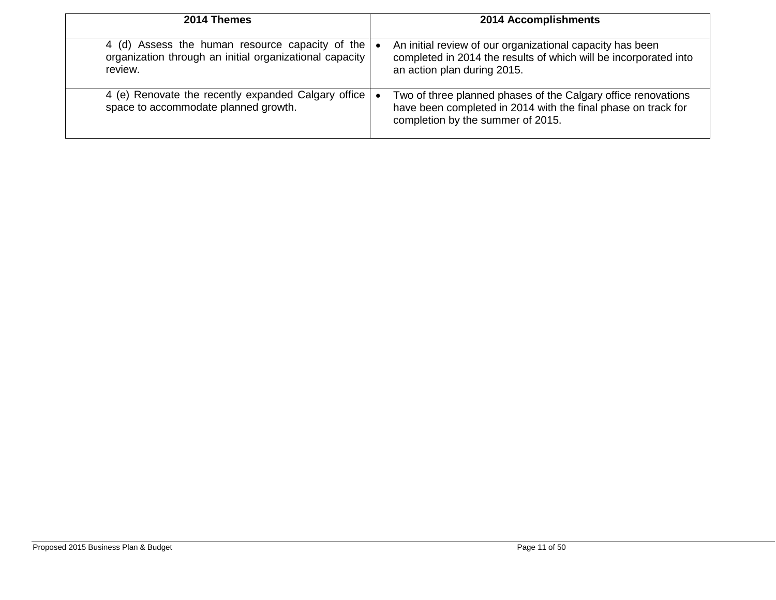| 2014 Themes                                                                                                           | 2014 Accomplishments                                                                                                                                                             |
|-----------------------------------------------------------------------------------------------------------------------|----------------------------------------------------------------------------------------------------------------------------------------------------------------------------------|
| 4 (d) Assess the human resource capacity of the<br>organization through an initial organizational capacity<br>review. | An initial review of our organizational capacity has been<br>$\bullet$<br>completed in 2014 the results of which will be incorporated into<br>an action plan during 2015.        |
| 4 (e) Renovate the recently expanded Calgary office<br>space to accommodate planned growth.                           | Two of three planned phases of the Calgary office renovations<br>$\bullet$<br>have been completed in 2014 with the final phase on track for<br>completion by the summer of 2015. |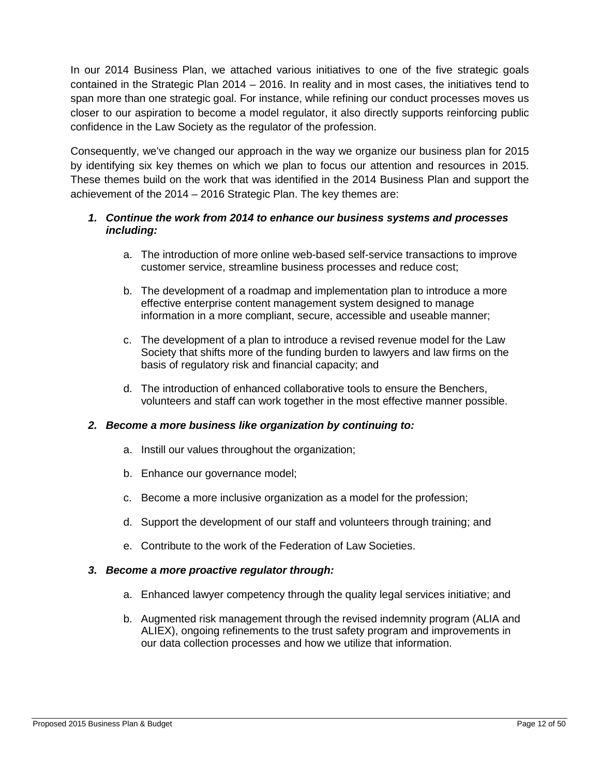In our 2014 Business Plan, we attached various initiatives to one of the five strategic goals contained in the Strategic Plan 2014 – 2016. In reality and in most cases, the initiatives tend to span more than one strategic goal. For instance, while refining our conduct processes moves us closer to our aspiration to become a model regulator, it also directly supports reinforcing public confidence in the Law Society as the regulator of the profession.

Consequently, we've changed our approach in the way we organize our business plan for 2015 by identifying six key themes on which we plan to focus our attention and resources in 2015. These themes build on the work that was identified in the 2014 Business Plan and support the achievement of the 2014 – 2016 Strategic Plan. The key themes are:

#### *1. Continue the work from 2014 to enhance our business systems and processes including:*

- a. The introduction of more online web-based self-service transactions to improve customer service, streamline business processes and reduce cost;
- b. The development of a roadmap and implementation plan to introduce a more effective enterprise content management system designed to manage information in a more compliant, secure, accessible and useable manner;
- c. The development of a plan to introduce a revised revenue model for the Law Society that shifts more of the funding burden to lawyers and law firms on the basis of regulatory risk and financial capacity; and
- d. The introduction of enhanced collaborative tools to ensure the Benchers, volunteers and staff can work together in the most effective manner possible.

#### *2. Become a more business like organization by continuing to:*

- a. Instill our values throughout the organization;
- b. Enhance our governance model;
- c. Become a more inclusive organization as a model for the profession;
- d. Support the development of our staff and volunteers through training; and
- e. Contribute to the work of the Federation of Law Societies.

#### *3. Become a more proactive regulator through:*

- a. Enhanced lawyer competency through the quality legal services initiative; and
- b. Augmented risk management through the revised indemnity program (ALIA and ALIEX), ongoing refinements to the trust safety program and improvements in our data collection processes and how we utilize that information.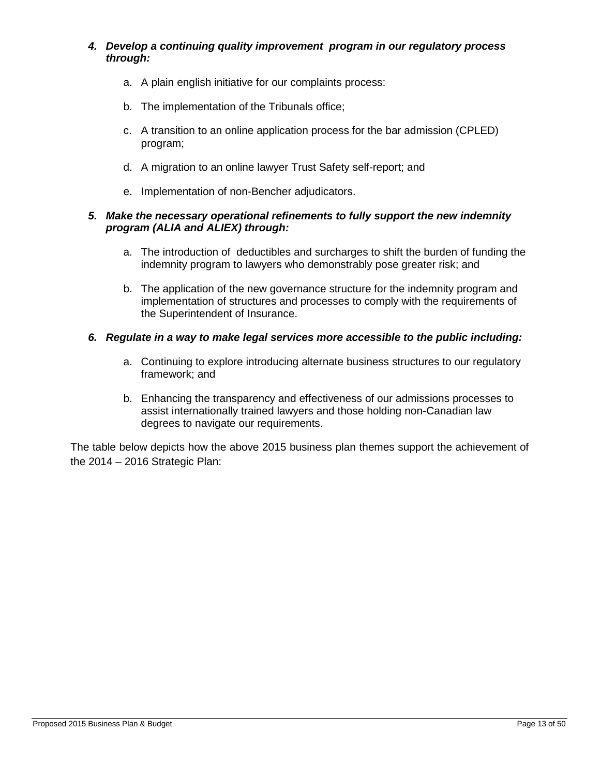#### *4. Develop a continuing quality improvement program in our regulatory process through:*

- a. A plain english initiative for our complaints process:
- b. The implementation of the Tribunals office;
- c. A transition to an online application process for the bar admission (CPLED) program;
- d. A migration to an online lawyer Trust Safety self-report; and
- e. Implementation of non-Bencher adjudicators.

#### *5. Make the necessary operational refinements to fully support the new indemnity program (ALIA and ALIEX) through:*

- a. The introduction of deductibles and surcharges to shift the burden of funding the indemnity program to lawyers who demonstrably pose greater risk; and
- b. The application of the new governance structure for the indemnity program and implementation of structures and processes to comply with the requirements of the Superintendent of Insurance.

#### *6. Regulate in a way to make legal services more accessible to the public including:*

- a. Continuing to explore introducing alternate business structures to our regulatory framework; and
- b. Enhancing the transparency and effectiveness of our admissions processes to assist internationally trained lawyers and those holding non-Canadian law degrees to navigate our requirements.

The table below depicts how the above 2015 business plan themes support the achievement of the 2014 – 2016 Strategic Plan: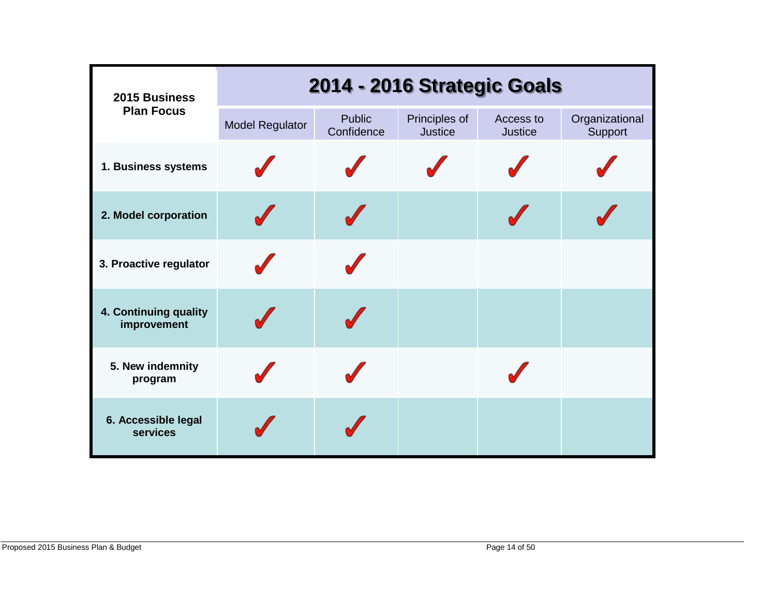| 2015 Business                          |                        | 2014 - 2016 Strategic Goals |                                 |                             |                           |
|----------------------------------------|------------------------|-----------------------------|---------------------------------|-----------------------------|---------------------------|
| <b>Plan Focus</b>                      | <b>Model Regulator</b> | <b>Public</b><br>Confidence | Principles of<br><b>Justice</b> | Access to<br><b>Justice</b> | Organizational<br>Support |
| 1. Business systems                    |                        |                             |                                 |                             |                           |
| 2. Model corporation                   |                        |                             |                                 |                             |                           |
| 3. Proactive regulator                 |                        |                             |                                 |                             |                           |
| 4. Continuing quality<br>improvement   |                        |                             |                                 |                             |                           |
| 5. New indemnity<br>program            |                        |                             |                                 |                             |                           |
| 6. Accessible legal<br><b>services</b> |                        |                             |                                 |                             |                           |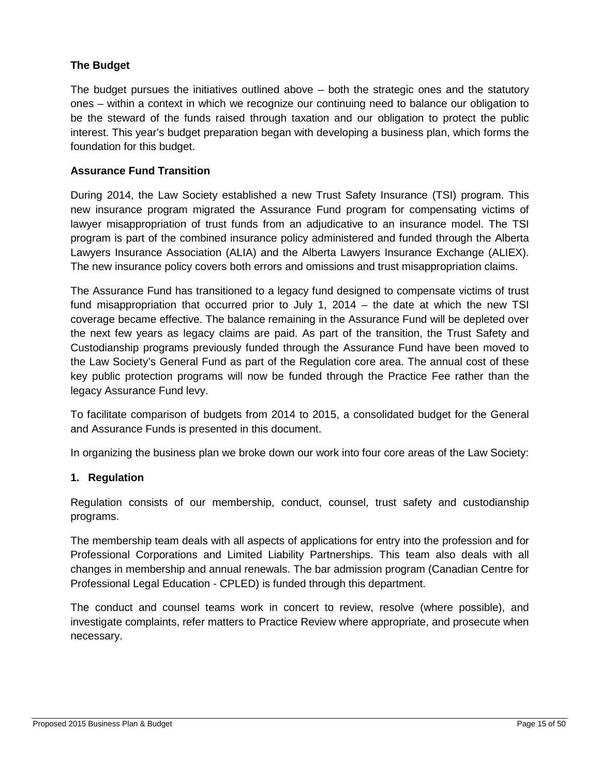#### **The Budget**

The budget pursues the initiatives outlined above  $-$  both the strategic ones and the statutory ones – within a context in which we recognize our continuing need to balance our obligation to be the steward of the funds raised through taxation and our obligation to protect the public interest. This year's budget preparation began with developing a business plan, which forms the foundation for this budget.

#### **Assurance Fund Transition**

During 2014, the Law Society established a new Trust Safety Insurance (TSI) program. This new insurance program migrated the Assurance Fund program for compensating victims of lawyer misappropriation of trust funds from an adjudicative to an insurance model. The TSI program is part of the combined insurance policy administered and funded through the Alberta Lawyers Insurance Association (ALIA) and the Alberta Lawyers Insurance Exchange (ALIEX). The new insurance policy covers both errors and omissions and trust misappropriation claims.

The Assurance Fund has transitioned to a legacy fund designed to compensate victims of trust fund misappropriation that occurred prior to July 1, 2014 – the date at which the new TSI coverage became effective. The balance remaining in the Assurance Fund will be depleted over the next few years as legacy claims are paid. As part of the transition, the Trust Safety and Custodianship programs previously funded through the Assurance Fund have been moved to the Law Society's General Fund as part of the Regulation core area. The annual cost of these key public protection programs will now be funded through the Practice Fee rather than the legacy Assurance Fund levy.

To facilitate comparison of budgets from 2014 to 2015, a consolidated budget for the General and Assurance Funds is presented in this document.

In organizing the business plan we broke down our work into four core areas of the Law Society:

#### **1. Regulation**

Regulation consists of our membership, conduct, counsel, trust safety and custodianship programs.

The membership team deals with all aspects of applications for entry into the profession and for Professional Corporations and Limited Liability Partnerships. This team also deals with all changes in membership and annual renewals. The bar admission program (Canadian Centre for Professional Legal Education - CPLED) is funded through this department.

The conduct and counsel teams work in concert to review, resolve (where possible), and investigate complaints, refer matters to Practice Review where appropriate, and prosecute when necessary.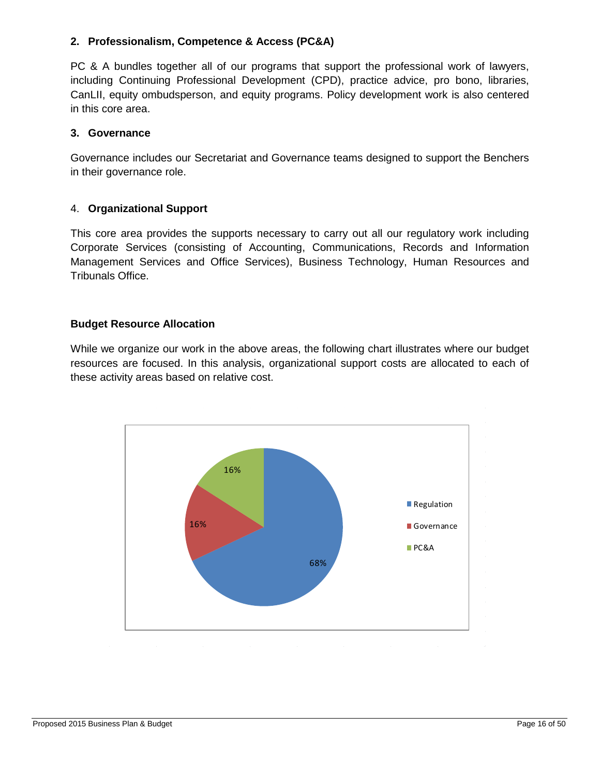#### **2. Professionalism, Competence & Access (PC&A)**

PC & A bundles together all of our programs that support the professional work of lawyers, including Continuing Professional Development (CPD), practice advice, pro bono, libraries, CanLII, equity ombudsperson, and equity programs. Policy development work is also centered in this core area.

#### **3. Governance**

Governance includes our Secretariat and Governance teams designed to support the Benchers in their governance role.

#### 4. **Organizational Support**

This core area provides the supports necessary to carry out all our regulatory work including Corporate Services (consisting of Accounting, Communications, Records and Information Management Services and Office Services), Business Technology, Human Resources and Tribunals Office.

#### **Budget Resource Allocation**

While we organize our work in the above areas, the following chart illustrates where our budget resources are focused. In this analysis, organizational support costs are allocated to each of these activity areas based on relative cost.

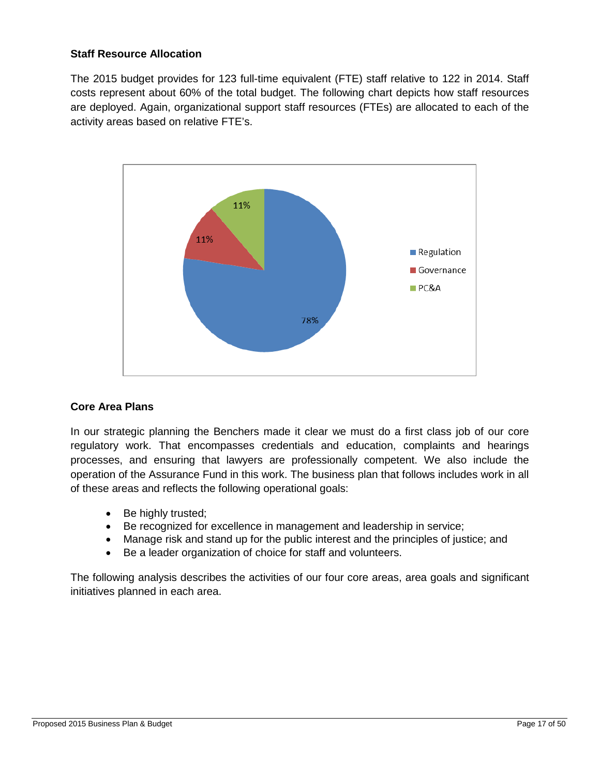#### **Staff Resource Allocation**

The 2015 budget provides for 123 full-time equivalent (FTE) staff relative to 122 in 2014. Staff costs represent about 60% of the total budget. The following chart depicts how staff resources are deployed. Again, organizational support staff resources (FTEs) are allocated to each of the activity areas based on relative FTE's.



#### **Core Area Plans**

In our strategic planning the Benchers made it clear we must do a first class job of our core regulatory work. That encompasses credentials and education, complaints and hearings processes, and ensuring that lawyers are professionally competent. We also include the operation of the Assurance Fund in this work. The business plan that follows includes work in all of these areas and reflects the following operational goals:

- Be highly trusted;
- Be recognized for excellence in management and leadership in service;
- Manage risk and stand up for the public interest and the principles of justice; and
- Be a leader organization of choice for staff and volunteers.

The following analysis describes the activities of our four core areas, area goals and significant initiatives planned in each area.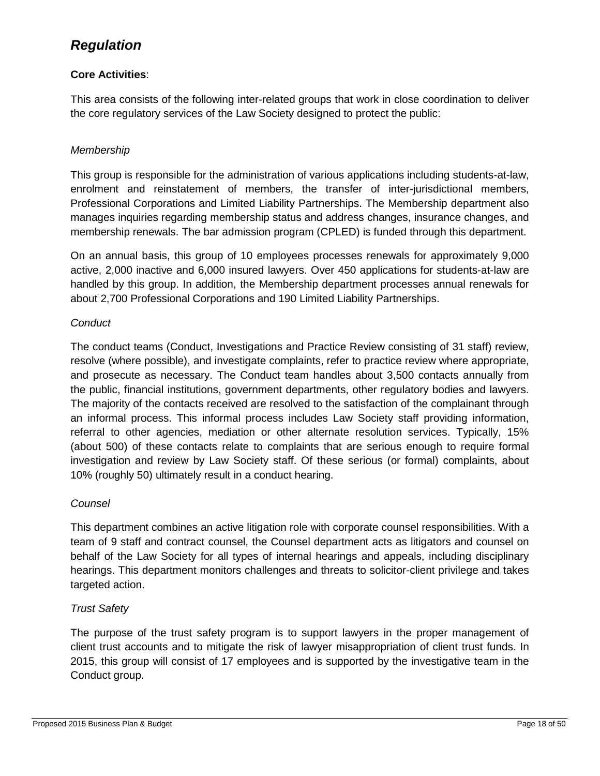### <span id="page-17-0"></span>*Regulation*

#### **Core Activities**:

This area consists of the following inter-related groups that work in close coordination to deliver the core regulatory services of the Law Society designed to protect the public:

#### *Membership*

This group is responsible for the administration of various applications including students-at-law, enrolment and reinstatement of members, the transfer of inter-jurisdictional members, Professional Corporations and Limited Liability Partnerships. The Membership department also manages inquiries regarding membership status and address changes, insurance changes, and membership renewals. The bar admission program (CPLED) is funded through this department.

On an annual basis, this group of 10 employees processes renewals for approximately 9,000 active, 2,000 inactive and 6,000 insured lawyers. Over 450 applications for students-at-law are handled by this group. In addition, the Membership department processes annual renewals for about 2,700 Professional Corporations and 190 Limited Liability Partnerships.

#### *Conduct*

The conduct teams (Conduct, Investigations and Practice Review consisting of 31 staff) review, resolve (where possible), and investigate complaints, refer to practice review where appropriate, and prosecute as necessary. The Conduct team handles about 3,500 contacts annually from the public, financial institutions, government departments, other regulatory bodies and lawyers. The majority of the contacts received are resolved to the satisfaction of the complainant through an informal process. This informal process includes Law Society staff providing information, referral to other agencies, mediation or other alternate resolution services. Typically, 15% (about 500) of these contacts relate to complaints that are serious enough to require formal investigation and review by Law Society staff. Of these serious (or formal) complaints, about 10% (roughly 50) ultimately result in a conduct hearing.

#### *Counsel*

This department combines an active litigation role with corporate counsel responsibilities. With a team of 9 staff and contract counsel, the Counsel department acts as litigators and counsel on behalf of the Law Society for all types of internal hearings and appeals, including disciplinary hearings. This department monitors challenges and threats to solicitor-client privilege and takes targeted action.

#### *Trust Safety*

The purpose of the trust safety program is to support lawyers in the proper management of client trust accounts and to mitigate the risk of lawyer misappropriation of client trust funds. In 2015, this group will consist of 17 employees and is supported by the investigative team in the Conduct group.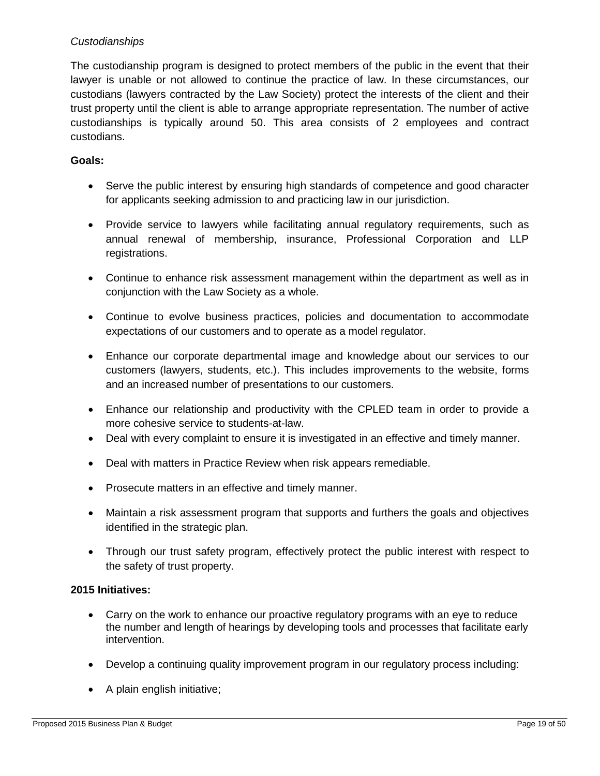#### *Custodianships*

The custodianship program is designed to protect members of the public in the event that their lawyer is unable or not allowed to continue the practice of law. In these circumstances, our custodians (lawyers contracted by the Law Society) protect the interests of the client and their trust property until the client is able to arrange appropriate representation. The number of active custodianships is typically around 50. This area consists of 2 employees and contract custodians.

#### **Goals:**

- Serve the public interest by ensuring high standards of competence and good character for applicants seeking admission to and practicing law in our jurisdiction.
- Provide service to lawyers while facilitating annual regulatory requirements, such as annual renewal of membership, insurance, Professional Corporation and LLP registrations.
- Continue to enhance risk assessment management within the department as well as in conjunction with the Law Society as a whole.
- Continue to evolve business practices, policies and documentation to accommodate expectations of our customers and to operate as a model regulator.
- Enhance our corporate departmental image and knowledge about our services to our customers (lawyers, students, etc.). This includes improvements to the website, forms and an increased number of presentations to our customers.
- Enhance our relationship and productivity with the CPLED team in order to provide a more cohesive service to students-at-law.
- Deal with every complaint to ensure it is investigated in an effective and timely manner.
- Deal with matters in Practice Review when risk appears remediable.
- Prosecute matters in an effective and timely manner.
- Maintain a risk assessment program that supports and furthers the goals and objectives identified in the strategic plan.
- Through our trust safety program, effectively protect the public interest with respect to the safety of trust property.

#### **2015 Initiatives:**

- Carry on the work to enhance our proactive regulatory programs with an eye to reduce the number and length of hearings by developing tools and processes that facilitate early intervention.
- Develop a continuing quality improvement program in our regulatory process including:
- A plain english initiative;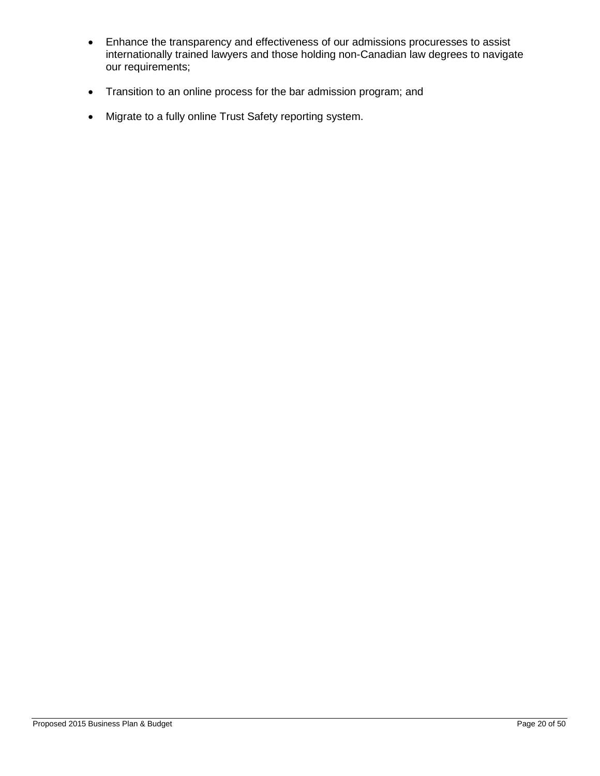- Enhance the transparency and effectiveness of our admissions procuresses to assist internationally trained lawyers and those holding non-Canadian law degrees to navigate our requirements;
- Transition to an online process for the bar admission program; and
- Migrate to a fully online Trust Safety reporting system.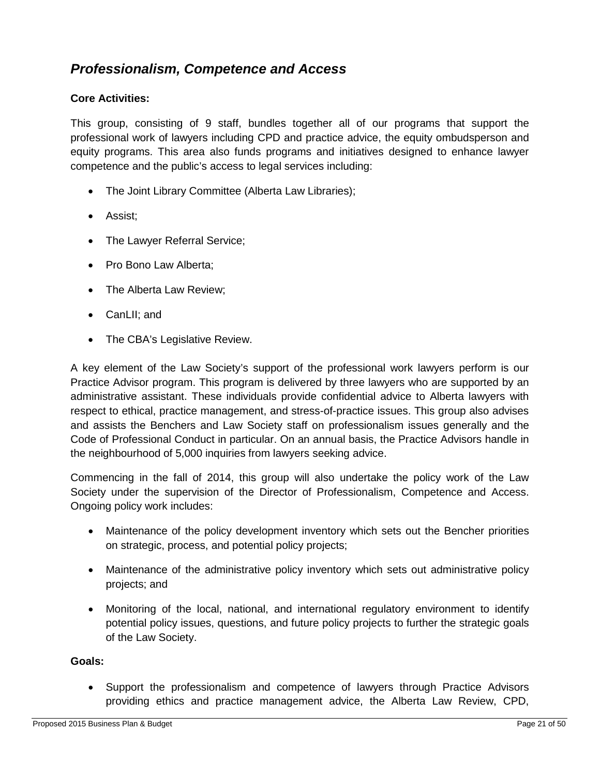### <span id="page-20-0"></span>*Professionalism, Competence and Access*

#### **Core Activities:**

This group, consisting of 9 staff, bundles together all of our programs that support the professional work of lawyers including CPD and practice advice, the equity ombudsperson and equity programs. This area also funds programs and initiatives designed to enhance lawyer competence and the public's access to legal services including:

- The Joint Library Committee (Alberta Law Libraries);
- Assist;
- The Lawyer Referral Service;
- Pro Bono Law Alberta:
- The Alberta Law Review;
- CanLII; and
- The CBA's Legislative Review.

A key element of the Law Society's support of the professional work lawyers perform is our Practice Advisor program. This program is delivered by three lawyers who are supported by an administrative assistant. These individuals provide confidential advice to Alberta lawyers with respect to ethical, practice management, and stress-of-practice issues. This group also advises and assists the Benchers and Law Society staff on professionalism issues generally and the Code of Professional Conduct in particular. On an annual basis, the Practice Advisors handle in the neighbourhood of 5,000 inquiries from lawyers seeking advice.

Commencing in the fall of 2014, this group will also undertake the policy work of the Law Society under the supervision of the Director of Professionalism, Competence and Access. Ongoing policy work includes:

- Maintenance of the policy development inventory which sets out the Bencher priorities on strategic, process, and potential policy projects;
- Maintenance of the administrative policy inventory which sets out administrative policy projects; and
- Monitoring of the local, national, and international regulatory environment to identify potential policy issues, questions, and future policy projects to further the strategic goals of the Law Society.

#### **Goals:**

• Support the professionalism and competence of lawyers through Practice Advisors providing ethics and practice management advice, the Alberta Law Review, CPD,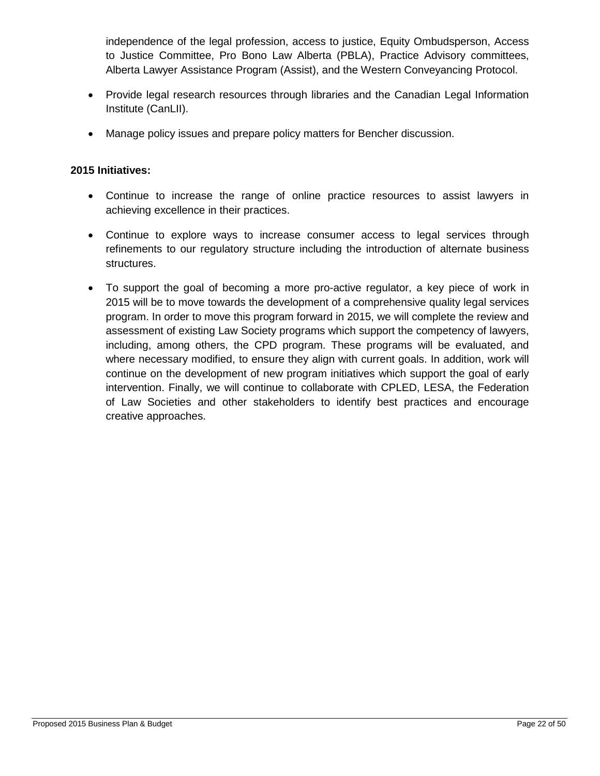independence of the legal profession, access to justice, Equity Ombudsperson, Access to Justice Committee, Pro Bono Law Alberta (PBLA), Practice Advisory committees, Alberta Lawyer Assistance Program (Assist), and the Western Conveyancing Protocol.

- Provide legal research resources through libraries and the Canadian Legal Information Institute (CanLII).
- Manage policy issues and prepare policy matters for Bencher discussion.

#### **2015 Initiatives:**

- Continue to increase the range of online practice resources to assist lawyers in achieving excellence in their practices.
- Continue to explore ways to increase consumer access to legal services through refinements to our regulatory structure including the introduction of alternate business structures.
- To support the goal of becoming a more pro-active regulator, a key piece of work in 2015 will be to move towards the development of a comprehensive quality legal services program. In order to move this program forward in 2015, we will complete the review and assessment of existing Law Society programs which support the competency of lawyers, including, among others, the CPD program. These programs will be evaluated, and where necessary modified, to ensure they align with current goals. In addition, work will continue on the development of new program initiatives which support the goal of early intervention. Finally, we will continue to collaborate with CPLED, LESA, the Federation of Law Societies and other stakeholders to identify best practices and encourage creative approaches.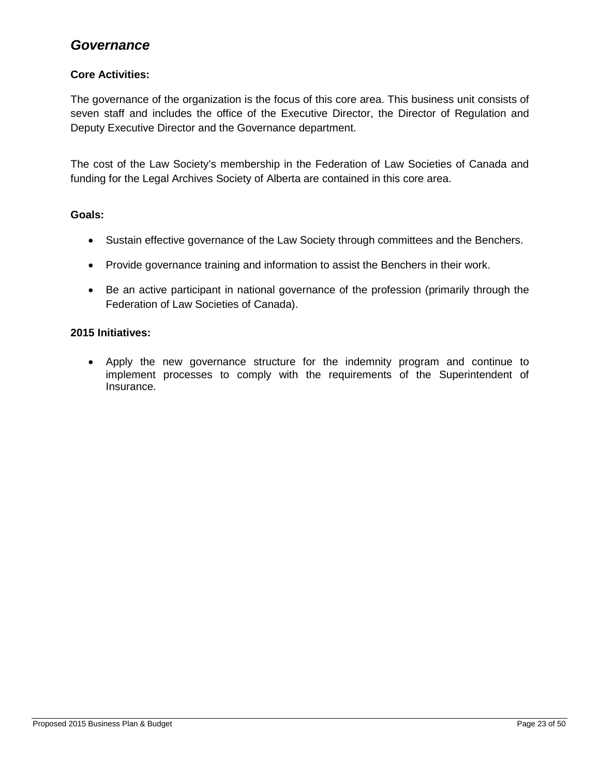### <span id="page-22-0"></span>*Governance*

#### **Core Activities:**

The governance of the organization is the focus of this core area. This business unit consists of seven staff and includes the office of the Executive Director, the Director of Regulation and Deputy Executive Director and the Governance department.

The cost of the Law Society's membership in the Federation of Law Societies of Canada and funding for the Legal Archives Society of Alberta are contained in this core area.

#### **Goals:**

- Sustain effective governance of the Law Society through committees and the Benchers.
- Provide governance training and information to assist the Benchers in their work.
- Be an active participant in national governance of the profession (primarily through the Federation of Law Societies of Canada).

#### **2015 Initiatives:**

• Apply the new governance structure for the indemnity program and continue to implement processes to comply with the requirements of the Superintendent of Insurance.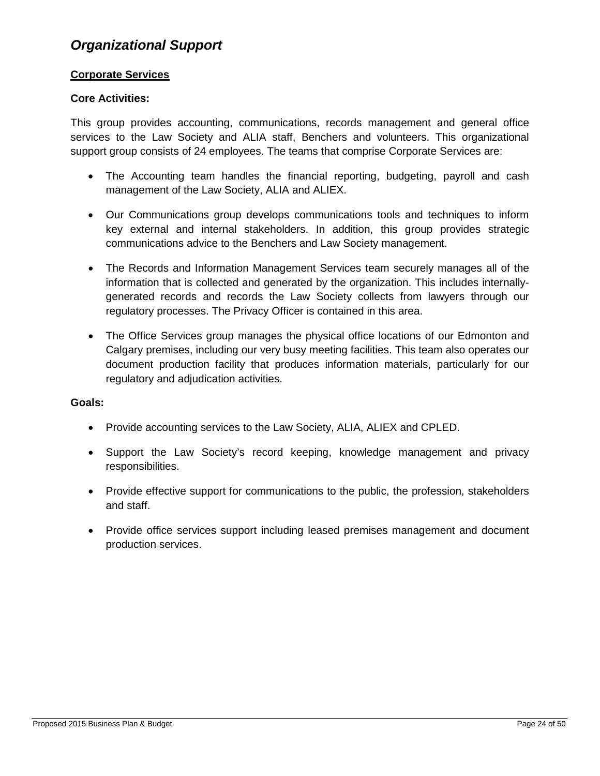### <span id="page-23-0"></span>*Organizational Support*

#### **Corporate Services**

#### **Core Activities:**

This group provides accounting, communications, records management and general office services to the Law Society and ALIA staff, Benchers and volunteers. This organizational support group consists of 24 employees. The teams that comprise Corporate Services are:

- The Accounting team handles the financial reporting, budgeting, payroll and cash management of the Law Society, ALIA and ALIEX.
- Our Communications group develops communications tools and techniques to inform key external and internal stakeholders. In addition, this group provides strategic communications advice to the Benchers and Law Society management.
- The Records and Information Management Services team securely manages all of the information that is collected and generated by the organization. This includes internallygenerated records and records the Law Society collects from lawyers through our regulatory processes. The Privacy Officer is contained in this area.
- The Office Services group manages the physical office locations of our Edmonton and Calgary premises, including our very busy meeting facilities. This team also operates our document production facility that produces information materials, particularly for our regulatory and adjudication activities.

#### **Goals:**

- Provide accounting services to the Law Society, ALIA, ALIEX and CPLED.
- Support the Law Society's record keeping, knowledge management and privacy responsibilities.
- Provide effective support for communications to the public, the profession, stakeholders and staff.
- Provide office services support including leased premises management and document production services.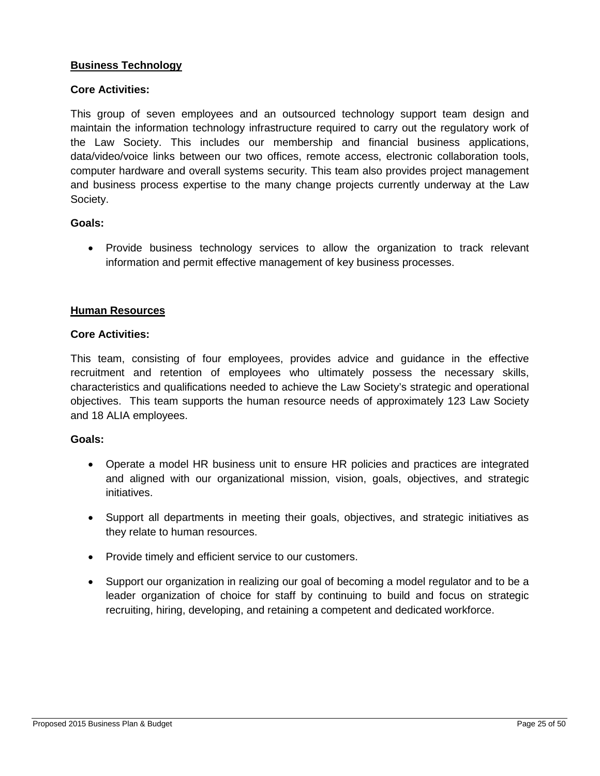#### **Business Technology**

#### **Core Activities:**

This group of seven employees and an outsourced technology support team design and maintain the information technology infrastructure required to carry out the regulatory work of the Law Society. This includes our membership and financial business applications, data/video/voice links between our two offices, remote access, electronic collaboration tools, computer hardware and overall systems security. This team also provides project management and business process expertise to the many change projects currently underway at the Law Society.

#### **Goals:**

• Provide business technology services to allow the organization to track relevant information and permit effective management of key business processes.

#### **Human Resources**

#### **Core Activities:**

This team, consisting of four employees, provides advice and guidance in the effective recruitment and retention of employees who ultimately possess the necessary skills, characteristics and qualifications needed to achieve the Law Society's strategic and operational objectives. This team supports the human resource needs of approximately 123 Law Society and 18 ALIA employees.

#### **Goals:**

- Operate a model HR business unit to ensure HR policies and practices are integrated and aligned with our organizational mission, vision, goals, objectives, and strategic initiatives.
- Support all departments in meeting their goals, objectives, and strategic initiatives as they relate to human resources.
- Provide timely and efficient service to our customers.
- Support our organization in realizing our goal of becoming a model regulator and to be a leader organization of choice for staff by continuing to build and focus on strategic recruiting, hiring, developing, and retaining a competent and dedicated workforce.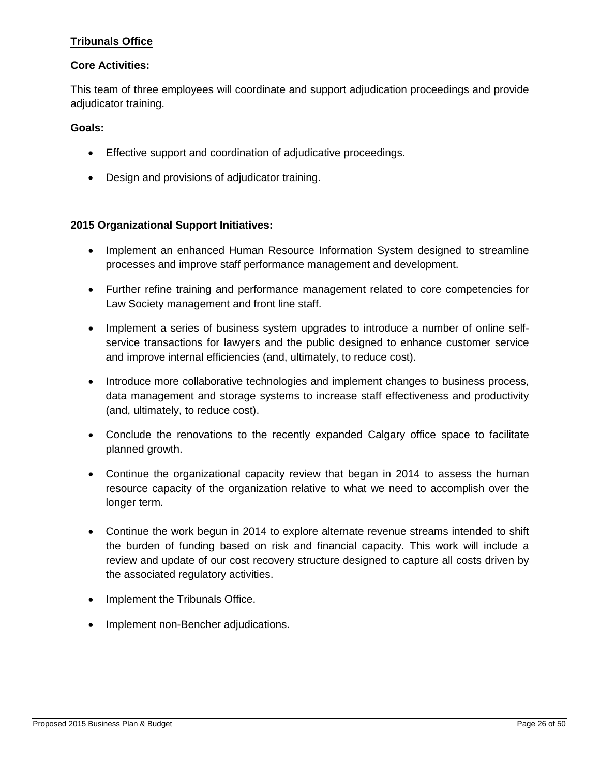#### **Tribunals Office**

#### **Core Activities:**

This team of three employees will coordinate and support adjudication proceedings and provide adjudicator training.

#### **Goals:**

- Effective support and coordination of adjudicative proceedings.
- Design and provisions of adjudicator training.

#### **2015 Organizational Support Initiatives:**

- Implement an enhanced Human Resource Information System designed to streamline processes and improve staff performance management and development.
- Further refine training and performance management related to core competencies for Law Society management and front line staff.
- Implement a series of business system upgrades to introduce a number of online selfservice transactions for lawyers and the public designed to enhance customer service and improve internal efficiencies (and, ultimately, to reduce cost).
- Introduce more collaborative technologies and implement changes to business process, data management and storage systems to increase staff effectiveness and productivity (and, ultimately, to reduce cost).
- Conclude the renovations to the recently expanded Calgary office space to facilitate planned growth.
- Continue the organizational capacity review that began in 2014 to assess the human resource capacity of the organization relative to what we need to accomplish over the longer term.
- Continue the work begun in 2014 to explore alternate revenue streams intended to shift the burden of funding based on risk and financial capacity. This work will include a review and update of our cost recovery structure designed to capture all costs driven by the associated regulatory activities.
- Implement the Tribunals Office.
- Implement non-Bencher adjudications.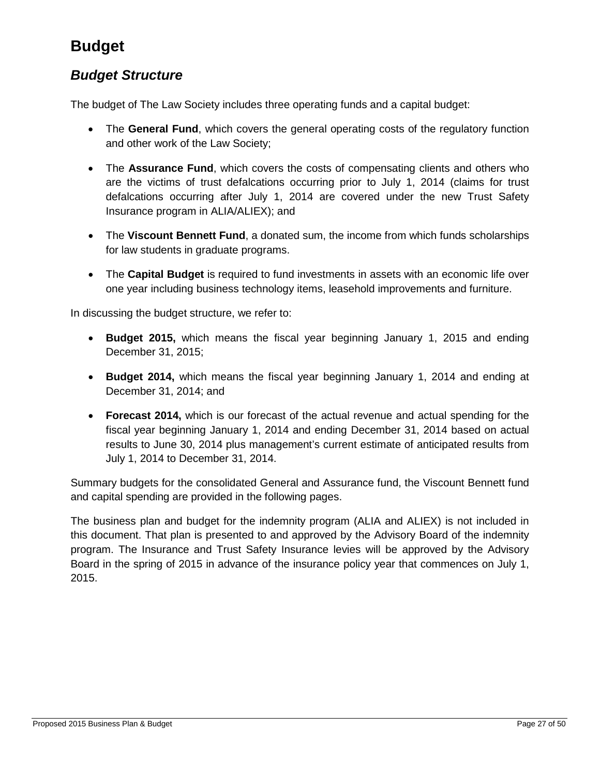# <span id="page-26-0"></span>**Budget**

### <span id="page-26-1"></span>*Budget Structure*

The budget of The Law Society includes three operating funds and a capital budget:

- The **General Fund**, which covers the general operating costs of the regulatory function and other work of the Law Society;
- The **Assurance Fund**, which covers the costs of compensating clients and others who are the victims of trust defalcations occurring prior to July 1, 2014 (claims for trust defalcations occurring after July 1, 2014 are covered under the new Trust Safety Insurance program in ALIA/ALIEX); and
- The **Viscount Bennett Fund**, a donated sum, the income from which funds scholarships for law students in graduate programs.
- The **Capital Budget** is required to fund investments in assets with an economic life over one year including business technology items, leasehold improvements and furniture.

In discussing the budget structure, we refer to:

- **Budget 2015,** which means the fiscal year beginning January 1, 2015 and ending December 31, 2015;
- **Budget 2014,** which means the fiscal year beginning January 1, 2014 and ending at December 31, 2014; and
- **Forecast 2014,** which is our forecast of the actual revenue and actual spending for the fiscal year beginning January 1, 2014 and ending December 31, 2014 based on actual results to June 30, 2014 plus management's current estimate of anticipated results from July 1, 2014 to December 31, 2014.

Summary budgets for the consolidated General and Assurance fund, the Viscount Bennett fund and capital spending are provided in the following pages.

The business plan and budget for the indemnity program (ALIA and ALIEX) is not included in this document. That plan is presented to and approved by the Advisory Board of the indemnity program. The Insurance and Trust Safety Insurance levies will be approved by the Advisory Board in the spring of 2015 in advance of the insurance policy year that commences on July 1, 2015.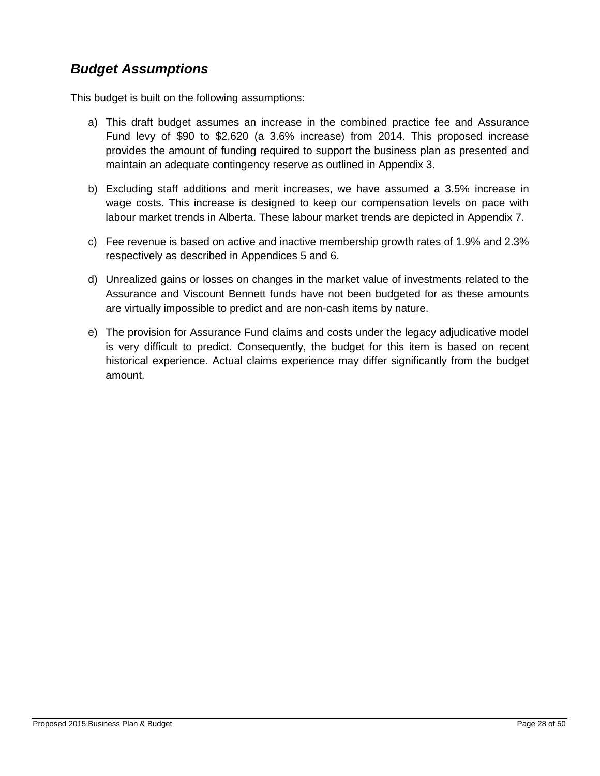### <span id="page-27-0"></span>*Budget Assumptions*

This budget is built on the following assumptions:

- a) This draft budget assumes an increase in the combined practice fee and Assurance Fund levy of \$90 to \$2,620 (a 3.6% increase) from 2014. This proposed increase provides the amount of funding required to support the business plan as presented and maintain an adequate contingency reserve as outlined in Appendix 3.
- b) Excluding staff additions and merit increases, we have assumed a 3.5% increase in wage costs. This increase is designed to keep our compensation levels on pace with labour market trends in Alberta. These labour market trends are depicted in Appendix 7.
- c) Fee revenue is based on active and inactive membership growth rates of 1.9% and 2.3% respectively as described in Appendices 5 and 6.
- d) Unrealized gains or losses on changes in the market value of investments related to the Assurance and Viscount Bennett funds have not been budgeted for as these amounts are virtually impossible to predict and are non-cash items by nature.
- e) The provision for Assurance Fund claims and costs under the legacy adjudicative model is very difficult to predict. Consequently, the budget for this item is based on recent historical experience. Actual claims experience may differ significantly from the budget amount.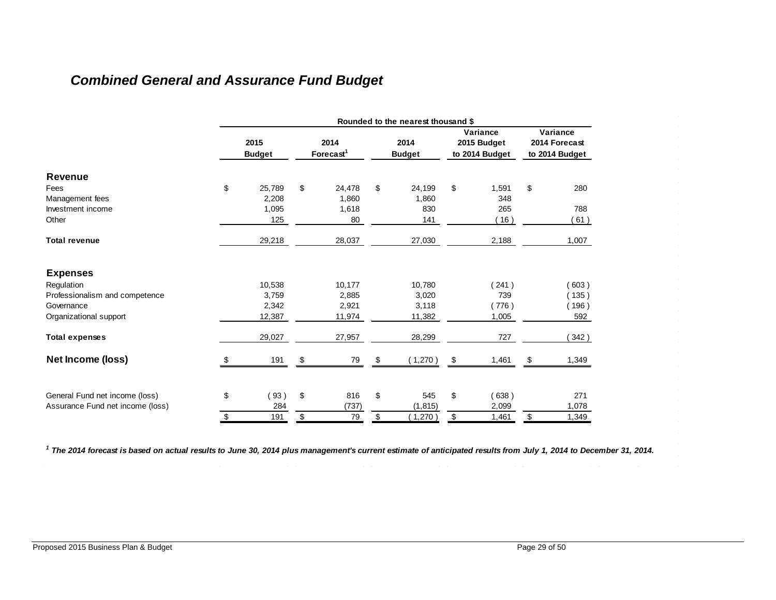# *Combined General and Assurance Fund Budget*

<span id="page-28-0"></span>

|                                  | Rounded to the nearest thousand \$ |                       |    |                               |    |                       |    |                                           |    |                                             |  |
|----------------------------------|------------------------------------|-----------------------|----|-------------------------------|----|-----------------------|----|-------------------------------------------|----|---------------------------------------------|--|
|                                  |                                    | 2015<br><b>Budget</b> |    | 2014<br>Forecast <sup>1</sup> |    | 2014<br><b>Budget</b> |    | Variance<br>2015 Budget<br>to 2014 Budget |    | Variance<br>2014 Forecast<br>to 2014 Budget |  |
| Revenue                          |                                    |                       |    |                               |    |                       |    |                                           |    |                                             |  |
| Fees                             | \$                                 | 25,789                | \$ | 24,478                        | \$ | 24,199                | \$ | 1,591                                     | \$ | 280                                         |  |
| Management fees                  |                                    | 2,208                 |    | 1.860                         |    | 1,860                 |    | 348                                       |    |                                             |  |
| Investment income                |                                    | 1,095                 |    | 1,618                         |    | 830                   |    | 265                                       |    | 788                                         |  |
| Other                            |                                    | 125                   |    | 80                            |    | 141                   |    | (16)                                      |    | (61)                                        |  |
| <b>Total revenue</b>             |                                    | 29,218                |    | 28,037                        |    | 27,030                |    | 2,188                                     |    | 1,007                                       |  |
| <b>Expenses</b>                  |                                    |                       |    |                               |    |                       |    |                                           |    |                                             |  |
| Regulation                       |                                    | 10,538                |    | 10,177                        |    | 10,780                |    | 241)                                      |    | (603)                                       |  |
| Professionalism and competence   |                                    | 3,759                 |    | 2,885                         |    | 3,020                 |    | 739                                       |    | (135)                                       |  |
| Governance                       |                                    | 2,342                 |    | 2,921                         |    | 3,118                 |    | 776)                                      |    | (196)                                       |  |
| Organizational support           |                                    | 12,387                |    | 11,974                        |    | 11,382                |    | 1,005                                     |    | 592                                         |  |
| <b>Total expenses</b>            |                                    | 29,027                |    | 27,957                        |    | 28,299                |    | 727                                       |    | 342)                                        |  |
| Net Income (loss)                |                                    | 191                   |    | 79                            |    | (1,270)               | \$ | 1,461                                     | \$ | 1,349                                       |  |
| General Fund net income (loss)   | \$                                 | (93)                  | \$ | 816                           | \$ | 545                   | \$ | 638)                                      |    | 271                                         |  |
| Assurance Fund net income (loss) |                                    | 284                   |    | (737)                         |    | (1, 815)              |    | 2,099                                     |    | 1,078                                       |  |
|                                  | \$                                 | 191                   | \$ | 79                            | \$ | (1,270)               | \$ | 1,461                                     | \$ | 1,349                                       |  |

*1 The 2014 forecast is based on actual results to June 30, 2014 plus management's current estimate of anticipated results from July 1, 2014 to December 31, 2014.*

 $\bar{z}$ 

 $\sim$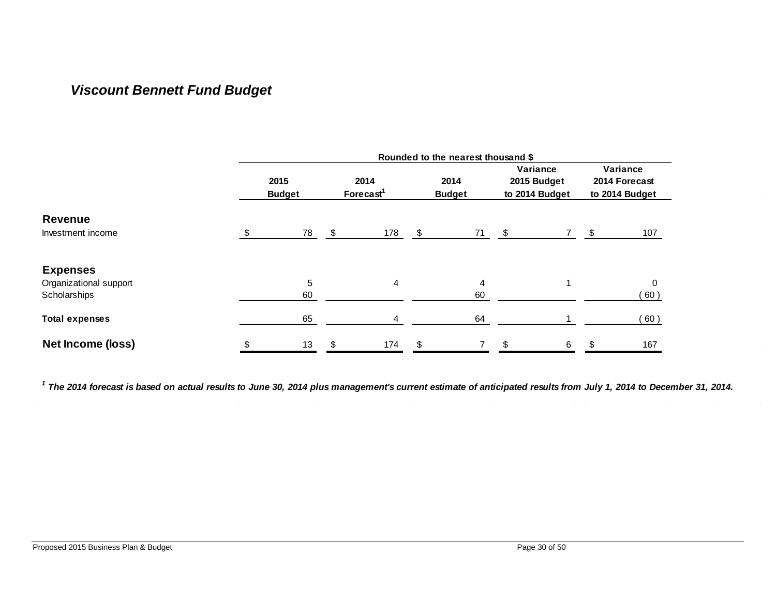## *Viscount Bennett Fund Budget*

<span id="page-29-0"></span>

|                        | Rounded to the nearest thousand \$ |    |                               |    |                       |    |                                           |    |                                             |  |  |  |  |
|------------------------|------------------------------------|----|-------------------------------|----|-----------------------|----|-------------------------------------------|----|---------------------------------------------|--|--|--|--|
|                        | 2015<br><b>Budget</b>              |    | 2014<br>Forecast <sup>1</sup> |    | 2014<br><b>Budget</b> |    | Variance<br>2015 Budget<br>to 2014 Budget |    | Variance<br>2014 Forecast<br>to 2014 Budget |  |  |  |  |
| <b>Revenue</b>         |                                    |    |                               |    |                       |    |                                           |    |                                             |  |  |  |  |
| Investment income      | \$<br>78                           | \$ | 178                           | \$ | 71                    | \$ |                                           | \$ | 107                                         |  |  |  |  |
| <b>Expenses</b>        |                                    |    |                               |    |                       |    |                                           |    |                                             |  |  |  |  |
| Organizational support | 5                                  |    | 4                             |    | 4                     |    |                                           |    | 0                                           |  |  |  |  |
| Scholarships           | 60                                 |    |                               |    | 60                    |    |                                           |    | 60)                                         |  |  |  |  |
| <b>Total expenses</b>  | 65                                 |    | 4                             |    | 64                    |    |                                           |    | 60)                                         |  |  |  |  |
| Net Income (loss)      | \$<br>13                           | \$ | 174                           | \$ | 7                     | \$ | 6                                         | \$ | 167                                         |  |  |  |  |

*1 The 2014 forecast is based on actual results to June 30, 2014 plus management's current estimate of anticipated results from July 1, 2014 to December 31, 2014.*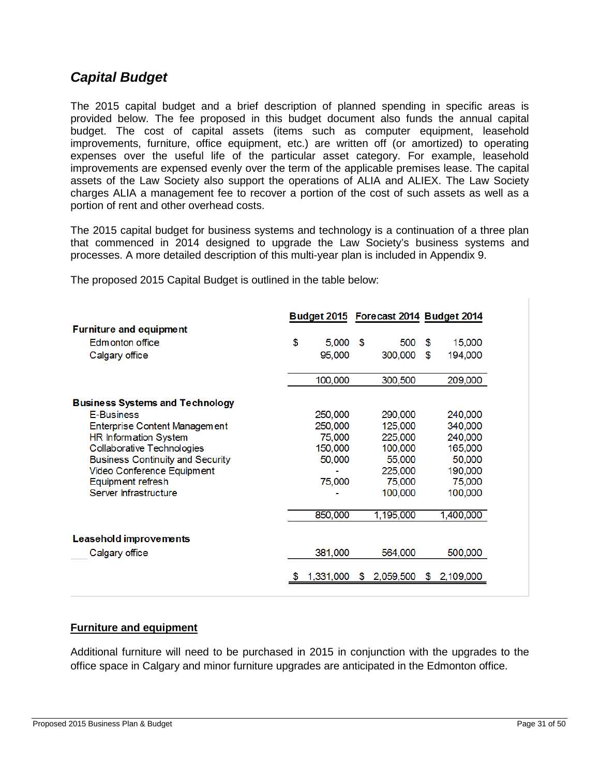### <span id="page-30-0"></span>*Capital Budget*

The 2015 capital budget and a brief description of planned spending in specific areas is provided below. The fee proposed in this budget document also funds the annual capital budget. The cost of capital assets (items such as computer equipment, leasehold improvements, furniture, office equipment, etc.) are written off (or amortized) to operating expenses over the useful life of the particular asset category. For example, leasehold improvements are expensed evenly over the term of the applicable premises lease. The capital assets of the Law Society also support the operations of ALIA and ALIEX. The Law Society charges ALIA a management fee to recover a portion of the cost of such assets as well as a portion of rent and other overhead costs.

The 2015 capital budget for business systems and technology is a continuation of a three plan that commenced in 2014 designed to upgrade the Law Society's business systems and processes. A more detailed description of this multi-year plan is included in Appendix 9.

|                                         |    |            | Budget 2015 Forecast 2014 Budget 2014 |               |
|-----------------------------------------|----|------------|---------------------------------------|---------------|
| <b>Furniture and equipment</b>          |    |            |                                       |               |
| Edmonton office                         | \$ | $5,000$ \$ | 500                                   | \$<br>15,000  |
| Calgary office                          |    | 95,000     | 300,000                               | \$<br>194,000 |
|                                         |    | 100,000    | 300,500                               | 209,000       |
| <b>Business Systems and Technology</b>  |    |            |                                       |               |
| <b>E-Business</b>                       |    | 250,000    | 290,000                               | 240,000       |
| Enterprise Content Management           |    | 250,000    | 125,000                               | 340,000       |
| HR Information System                   |    | 75,000     | 225,000                               | 240,000       |
| Collaborative Technologies              |    | 150,000    | 100,000                               | 165,000       |
| <b>Business Continuity and Security</b> |    | 50,000     | 55,000                                | 50,000        |
| Video Conference Equipment              |    |            | 225,000                               | 190,000       |
| Equipment refresh                       |    | 75,000     | 75,000                                | 75,000        |
| Server Infrastructure                   |    |            | 100,000                               | 100,000       |
|                                         |    | 850,000    | 1,195,000                             | 1,400,000     |
| <b>Leasehold improvements</b>           |    |            |                                       |               |
| Calgary office                          |    | 381,000    | 564,000                               | 500,000       |
|                                         | S  | 1.331.000  | \$2,059,500                           | \$2,109,000   |

The proposed 2015 Capital Budget is outlined in the table below:

#### **Furniture and equipment**

Additional furniture will need to be purchased in 2015 in conjunction with the upgrades to the office space in Calgary and minor furniture upgrades are anticipated in the Edmonton office.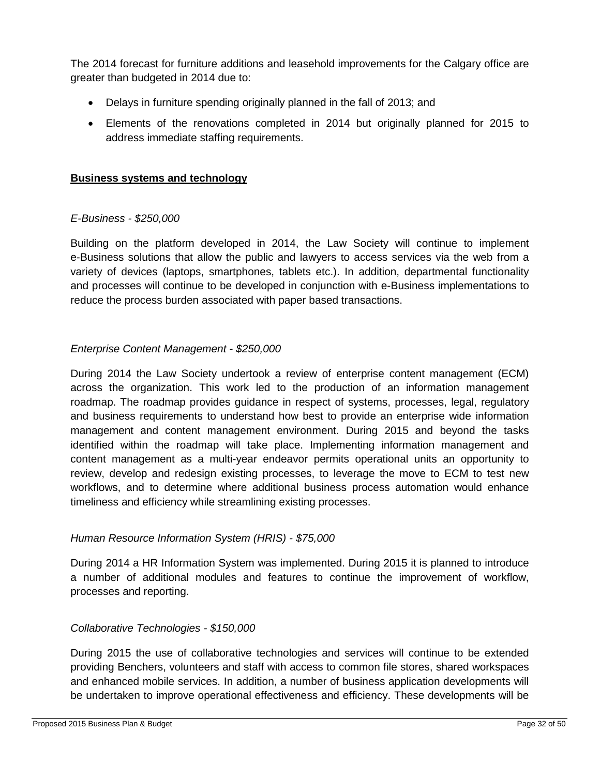The 2014 forecast for furniture additions and leasehold improvements for the Calgary office are greater than budgeted in 2014 due to:

- Delays in furniture spending originally planned in the fall of 2013; and
- Elements of the renovations completed in 2014 but originally planned for 2015 to address immediate staffing requirements.

#### **Business systems and technology**

#### *E-Business - \$250,000*

Building on the platform developed in 2014, the Law Society will continue to implement e-Business solutions that allow the public and lawyers to access services via the web from a variety of devices (laptops, smartphones, tablets etc.). In addition, departmental functionality and processes will continue to be developed in conjunction with e-Business implementations to reduce the process burden associated with paper based transactions.

#### *Enterprise Content Management - \$250,000*

During 2014 the Law Society undertook a review of enterprise content management (ECM) across the organization. This work led to the production of an information management roadmap. The roadmap provides guidance in respect of systems, processes, legal, regulatory and business requirements to understand how best to provide an enterprise wide information management and content management environment. During 2015 and beyond the tasks identified within the roadmap will take place. Implementing information management and content management as a multi-year endeavor permits operational units an opportunity to review, develop and redesign existing processes, to leverage the move to ECM to test new workflows, and to determine where additional business process automation would enhance timeliness and efficiency while streamlining existing processes.

#### *Human Resource Information System (HRIS) - \$75,000*

During 2014 a HR Information System was implemented. During 2015 it is planned to introduce a number of additional modules and features to continue the improvement of workflow, processes and reporting.

#### *Collaborative Technologies - \$150,000*

During 2015 the use of collaborative technologies and services will continue to be extended providing Benchers, volunteers and staff with access to common file stores, shared workspaces and enhanced mobile services. In addition, a number of business application developments will be undertaken to improve operational effectiveness and efficiency. These developments will be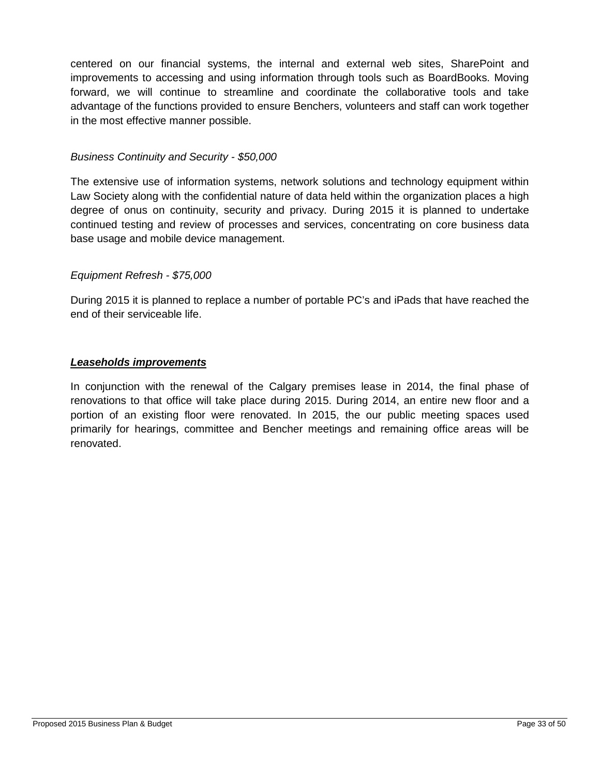centered on our financial systems, the internal and external web sites, SharePoint and improvements to accessing and using information through tools such as BoardBooks. Moving forward, we will continue to streamline and coordinate the collaborative tools and take advantage of the functions provided to ensure Benchers, volunteers and staff can work together in the most effective manner possible.

#### *Business Continuity and Security - \$50,000*

The extensive use of information systems, network solutions and technology equipment within Law Society along with the confidential nature of data held within the organization places a high degree of onus on continuity, security and privacy. During 2015 it is planned to undertake continued testing and review of processes and services, concentrating on core business data base usage and mobile device management.

#### *Equipment Refresh - \$75,000*

During 2015 it is planned to replace a number of portable PC's and iPads that have reached the end of their serviceable life.

#### *Leaseholds improvements*

In conjunction with the renewal of the Calgary premises lease in 2014, the final phase of renovations to that office will take place during 2015. During 2014, an entire new floor and a portion of an existing floor were renovated. In 2015, the our public meeting spaces used primarily for hearings, committee and Bencher meetings and remaining office areas will be renovated.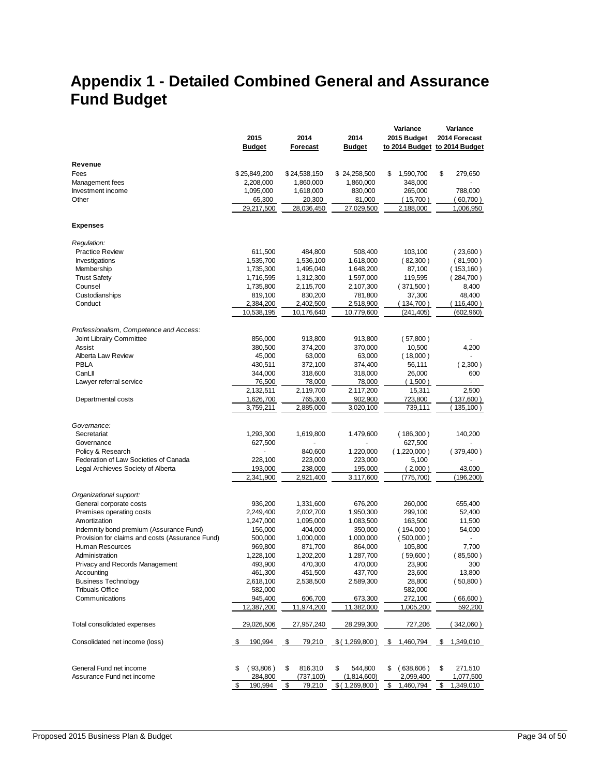# <span id="page-33-0"></span>**Appendix 1 - Detailed Combined General and Assurance Fund Budget**

|                                                 | 2015<br><b>Budget</b>   | 2014<br>Forecast        | 2014<br><b>Budget</b>   | Variance<br>2015 Budget | Variance<br>2014 Forecast<br>to 2014 Budget to 2014 Budget |
|-------------------------------------------------|-------------------------|-------------------------|-------------------------|-------------------------|------------------------------------------------------------|
|                                                 |                         |                         |                         |                         |                                                            |
| Revenue                                         |                         |                         |                         |                         |                                                            |
| Fees                                            | \$25,849,200            | \$24,538,150            | \$24,258,500            | \$<br>1,590,700         | \$<br>279,650                                              |
| Management fees<br>Investment income            | 2,208,000               | 1,860,000               | 1,860,000               | 348,000                 |                                                            |
| Other                                           | 1,095,000<br>65,300     | 1,618,000<br>20,300     | 830,000<br>81,000       | 265,000<br>(15,700)     | 788,000<br>(60,700)                                        |
|                                                 | 29,217,500              | 28,036,450              | 27,029,500              | 2,188,000               | 1,006,950                                                  |
| <b>Expenses</b>                                 |                         |                         |                         |                         |                                                            |
|                                                 |                         |                         |                         |                         |                                                            |
| Regulation:                                     |                         |                         |                         |                         |                                                            |
| <b>Practice Review</b>                          | 611,500                 | 484,800                 | 508,400                 | 103,100                 | (23,600)                                                   |
| Investigations                                  | 1,535,700               | 1,536,100               | 1,618,000               | (82,300)                | (81,900)                                                   |
| Membership                                      | 1,735,300               | 1,495,040               | 1,648,200               | 87,100                  | (153, 160)                                                 |
| <b>Trust Safety</b>                             | 1,716,595               | 1,312,300               | 1,597,000               | 119,595                 | (284,700)                                                  |
| Counsel                                         | 1,735,800               | 2,115,700               | 2,107,300               | (371,500)               | 8,400                                                      |
| Custodianships                                  | 819,100                 | 830,200                 | 781,800                 | 37,300                  | 48,400                                                     |
| Conduct                                         | 2,384,200<br>10,538,195 | 2,402,500<br>10,176,640 | 2,518,900<br>10,779,600 | (134,700)<br>(241, 405) | (116,400)<br>(602,960)                                     |
|                                                 |                         |                         |                         |                         |                                                            |
| Professionalism, Competence and Access:         |                         |                         |                         |                         |                                                            |
| Joint Librairy Committee                        | 856,000                 | 913,800                 | 913,800                 | (57,800)                |                                                            |
| Assist                                          | 380,500                 | 374,200                 | 370,000                 | 10,500                  | 4,200                                                      |
| Alberta Law Review                              | 45,000                  | 63,000                  | 63,000                  | (18,000)                |                                                            |
| PBLA                                            | 430,511                 | 372,100                 | 374,400                 | 56,111                  | (2,300)                                                    |
| CanLII                                          | 344,000                 | 318,600                 | 318,000                 | 26,000                  | 600                                                        |
| Lawyer referral service                         | 76,500<br>2,132,511     | 78,000<br>2,119,700     | 78,000                  | (1,500)<br>15,311       | 2,500                                                      |
| Departmental costs                              | 1,626,700               | 765,300                 | 2,117,200<br>902,900    | 723,800                 | (137,600)                                                  |
|                                                 | 3,759,211               | 2,885,000               | 3,020,100               | 739,111                 | 135,100)                                                   |
|                                                 |                         |                         |                         |                         |                                                            |
| Governance:                                     |                         |                         |                         |                         |                                                            |
| Secretariat                                     | 1,293,300               | 1,619,800               | 1,479,600               | (186,300)               | 140,200                                                    |
| Governance                                      | 627,500                 |                         |                         | 627,500                 |                                                            |
| Policy & Research                               |                         | 840,600                 | 1,220,000               | (1,220,000)             | (379,400)                                                  |
| Federation of Law Societies of Canada           | 228,100                 | 223,000                 | 223,000                 | 5,100                   |                                                            |
| Legal Archieves Society of Alberta              | 193,000                 | 238,000                 | 195,000                 | (2,000)                 | 43,000                                                     |
|                                                 | 2,341,900               | 2,921,400               | 3,117,600               | (775,700)               | (196,200)                                                  |
| Organizational support:                         |                         |                         |                         |                         |                                                            |
| General corporate costs                         | 936,200                 | 1,331,600               | 676,200                 | 260,000                 | 655,400                                                    |
| Premises operating costs                        | 2,249,400               | 2,002,700               | 1,950,300               | 299,100                 | 52,400                                                     |
| Amortization                                    | 1,247,000               | 1,095,000               | 1,083,500               | 163,500                 | 11,500                                                     |
| Indemnity bond premium (Assurance Fund)         | 156,000                 | 404,000                 | 350,000                 | (194,000)               | 54,000                                                     |
| Provision for claims and costs (Assurance Fund) | 500,000                 | 1,000,000               | 1,000,000               | (500,000)               | ÷.                                                         |
| Human Resources                                 | 969,800                 | 871,700                 | 864,000                 | 105,800                 | 7,700                                                      |
| Administration                                  | 1,228,100               | 1,202,200               | 1,287,700               | (59,600)                | (85,500)                                                   |
| Privacy and Records Management                  | 493,900                 | 470,300                 | 470,000                 | 23,900                  | 300                                                        |
| Accounting                                      | 461,300                 | 451,500                 | 437,700                 | 23,600                  | 13,800                                                     |
| <b>Business Technology</b>                      | 2,618,100               | 2,538,500               | 2,589,300               | 28,800                  | (50,800)                                                   |
| <b>Tribuals Office</b>                          | 582,000                 |                         |                         | 582,000                 |                                                            |
| Communications                                  | 945,400                 | 606,700                 | 673,300                 | 272,100                 | (66,600)                                                   |
|                                                 | 12,387,200              | 11,974,200              | 11,382,000              | 1,005,200               | 592,200                                                    |
| Total consolidated expenses                     | 29,026,506              | 27,957,240              | 28,299,300              | 727,206                 | 342,060)                                                   |
| Consolidated net income (loss)                  | \$<br>190,994           | -\$<br>79,210           | \$(1,269,800)           | 1,460,794<br>- \$       | 1,349,010<br>\$                                            |
| General Fund net income                         | (93,806)<br>S           | 816,310<br>\$           | 544,800<br>\$           | (638,606)<br>S          | 271,510<br>\$                                              |
| Assurance Fund net income                       | 284,800                 | (737, 100)              | (1,814,600)             | 2,099,400               | 1,077,500                                                  |
|                                                 | \$<br>190,994           | \$<br>79,210            | \$(1,269,800)           | \$<br>1,460,794         | \$<br>1,349,010                                            |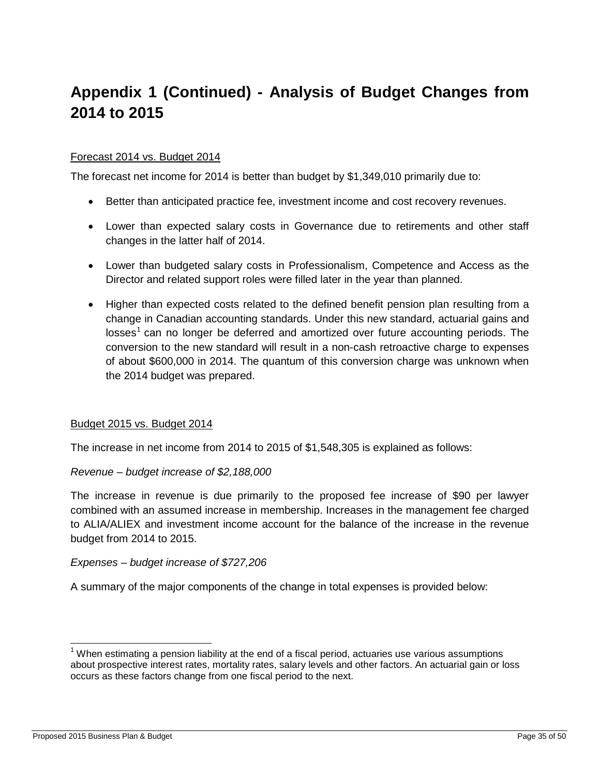# **Appendix 1 (Continued) - Analysis of Budget Changes from 2014 to 2015**

#### Forecast 2014 vs. Budget 2014

The forecast net income for 2014 is better than budget by \$1,349,010 primarily due to:

- Better than anticipated practice fee, investment income and cost recovery revenues.
- Lower than expected salary costs in Governance due to retirements and other staff changes in the latter half of 2014.
- Lower than budgeted salary costs in Professionalism, Competence and Access as the Director and related support roles were filled later in the year than planned.
- Higher than expected costs related to the defined benefit pension plan resulting from a change in Canadian accounting standards. Under this new standard, actuarial gains and  $losses<sup>1</sup>$  $losses<sup>1</sup>$  $losses<sup>1</sup>$  can no longer be deferred and amortized over future accounting periods. The conversion to the new standard will result in a non-cash retroactive charge to expenses of about \$600,000 in 2014. The quantum of this conversion charge was unknown when the 2014 budget was prepared.

#### Budget 2015 vs. Budget 2014

The increase in net income from 2014 to 2015 of \$1,548,305 is explained as follows:

#### *Revenue – budget increase of \$2,188,000*

The increase in revenue is due primarily to the proposed fee increase of \$90 per lawyer combined with an assumed increase in membership. Increases in the management fee charged to ALIA/ALIEX and investment income account for the balance of the increase in the revenue budget from 2014 to 2015.

#### *Expenses – budget increase of \$727,206*

A summary of the major components of the change in total expenses is provided below:

 $\overline{\phantom{a}}$ 

<span id="page-34-0"></span> $1$  When estimating a pension liability at the end of a fiscal period, actuaries use various assumptions about prospective interest rates, mortality rates, salary levels and other factors. An actuarial gain or loss occurs as these factors change from one fiscal period to the next.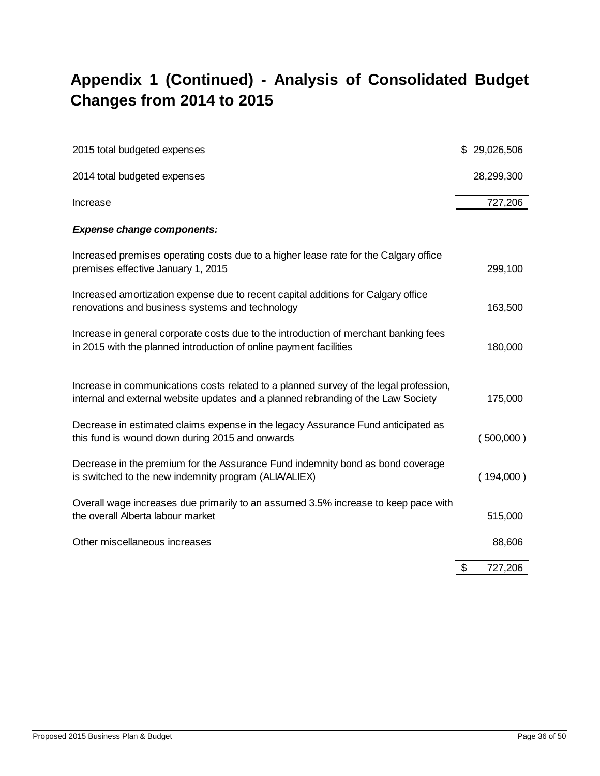# **Appendix 1 (Continued) - Analysis of Consolidated Budget Changes from 2014 to 2015**

| 2015 total budgeted expenses                                                                                                                                               | \$29,026,506  |
|----------------------------------------------------------------------------------------------------------------------------------------------------------------------------|---------------|
| 2014 total budgeted expenses                                                                                                                                               | 28,299,300    |
| Increase                                                                                                                                                                   | 727,206       |
| <b>Expense change components:</b>                                                                                                                                          |               |
| Increased premises operating costs due to a higher lease rate for the Calgary office<br>premises effective January 1, 2015                                                 | 299,100       |
| Increased amortization expense due to recent capital additions for Calgary office<br>renovations and business systems and technology                                       | 163,500       |
| Increase in general corporate costs due to the introduction of merchant banking fees<br>in 2015 with the planned introduction of online payment facilities                 | 180,000       |
| Increase in communications costs related to a planned survey of the legal profession,<br>internal and external website updates and a planned rebranding of the Law Society | 175,000       |
| Decrease in estimated claims expense in the legacy Assurance Fund anticipated as<br>this fund is wound down during 2015 and onwards                                        | (500,000)     |
| Decrease in the premium for the Assurance Fund indemnity bond as bond coverage<br>is switched to the new indemnity program (ALIA/ALIEX)                                    | (194,000)     |
| Overall wage increases due primarily to an assumed 3.5% increase to keep pace with<br>the overall Alberta labour market                                                    | 515,000       |
| Other miscellaneous increases                                                                                                                                              | 88,606        |
|                                                                                                                                                                            | \$<br>727,206 |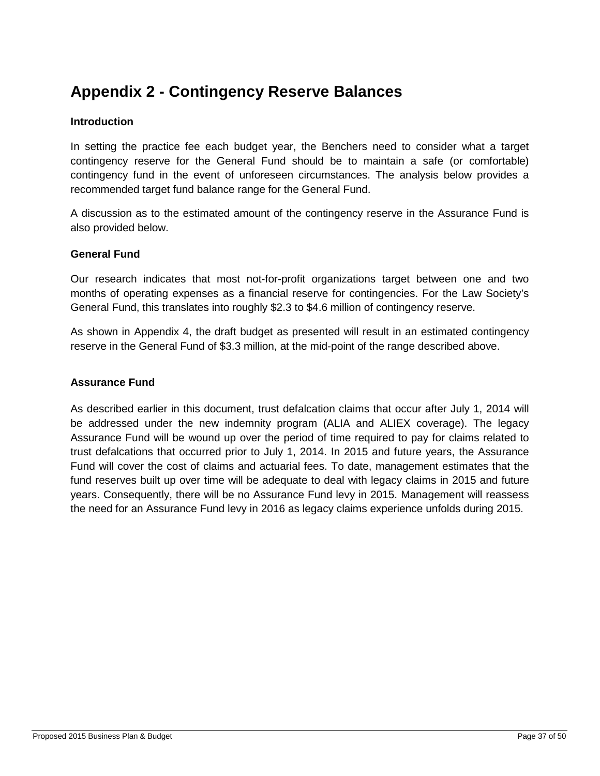# <span id="page-36-0"></span>**Appendix 2 - Contingency Reserve Balances**

#### **Introduction**

In setting the practice fee each budget year, the Benchers need to consider what a target contingency reserve for the General Fund should be to maintain a safe (or comfortable) contingency fund in the event of unforeseen circumstances. The analysis below provides a recommended target fund balance range for the General Fund.

A discussion as to the estimated amount of the contingency reserve in the Assurance Fund is also provided below.

#### **General Fund**

Our research indicates that most not-for-profit organizations target between one and two months of operating expenses as a financial reserve for contingencies. For the Law Society's General Fund, this translates into roughly \$2.3 to \$4.6 million of contingency reserve.

As shown in Appendix 4, the draft budget as presented will result in an estimated contingency reserve in the General Fund of \$3.3 million, at the mid-point of the range described above.

#### **Assurance Fund**

As described earlier in this document, trust defalcation claims that occur after July 1, 2014 will be addressed under the new indemnity program (ALIA and ALIEX coverage). The legacy Assurance Fund will be wound up over the period of time required to pay for claims related to trust defalcations that occurred prior to July 1, 2014. In 2015 and future years, the Assurance Fund will cover the cost of claims and actuarial fees. To date, management estimates that the fund reserves built up over time will be adequate to deal with legacy claims in 2015 and future years. Consequently, there will be no Assurance Fund levy in 2015. Management will reassess the need for an Assurance Fund levy in 2016 as legacy claims experience unfolds during 2015.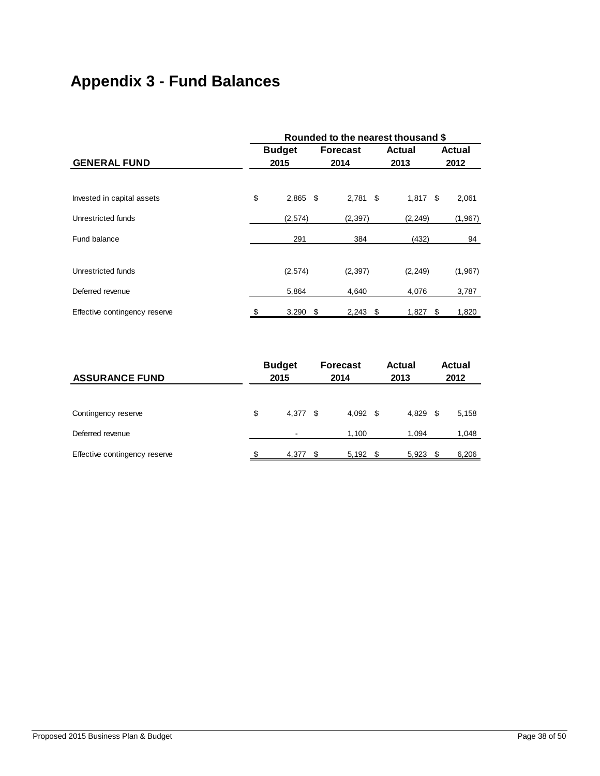# <span id="page-37-0"></span>**Appendix 3 - Fund Balances**

|                               | Rounded to the nearest thousand \$ |               |      |                 |               |    |               |  |  |  |  |
|-------------------------------|------------------------------------|---------------|------|-----------------|---------------|----|---------------|--|--|--|--|
|                               |                                    | <b>Budget</b> |      | <b>Forecast</b> | <b>Actual</b> |    | <b>Actual</b> |  |  |  |  |
| <b>GENERAL FUND</b>           |                                    | 2015          |      | 2014            | 2013          |    | 2012          |  |  |  |  |
|                               |                                    |               |      |                 |               |    |               |  |  |  |  |
| Invested in capital assets    | \$                                 | $2,865$ \$    |      | $2,781$ \$      | $1,817$ \$    |    | 2,061         |  |  |  |  |
| Unrestricted funds            |                                    | (2,574)       |      | (2, 397)        | (2, 249)      |    | (1,967)       |  |  |  |  |
| Fund balance                  |                                    | 291           |      | 384             | (432)         |    | 94            |  |  |  |  |
| Unrestricted funds            |                                    | (2,574)       |      | (2, 397)        | (2, 249)      |    | (1,967)       |  |  |  |  |
| Deferred revenue              |                                    | 5,864         |      | 4,640           | 4,076         |    | 3,787         |  |  |  |  |
| Effective contingency reserve |                                    | 3,290         | - \$ | 2,243<br>- \$   | 1,827         | \$ | 1,820         |  |  |  |  |

| <b>ASSURANCE FUND</b>         |    | <b>Budget</b><br>2015 |      |       |      | <b>Forecast</b><br>2014 |      |       |  | Actual<br>2013 |  |  |  | <b>Actual</b><br>2012 |
|-------------------------------|----|-----------------------|------|-------|------|-------------------------|------|-------|--|----------------|--|--|--|-----------------------|
|                               |    |                       |      |       |      |                         |      |       |  |                |  |  |  |                       |
| Contingency reserve           | \$ | 4.377                 | - \$ | 4,092 | - \$ | 4,829                   | - \$ | 5,158 |  |                |  |  |  |                       |
| Deferred revenue              |    |                       |      | 1,100 |      | 1.094                   |      | 1,048 |  |                |  |  |  |                       |
| Effective contingency reserve |    | 4,377                 | -S   | 5,192 | - \$ | 5,923                   | - \$ | 6,206 |  |                |  |  |  |                       |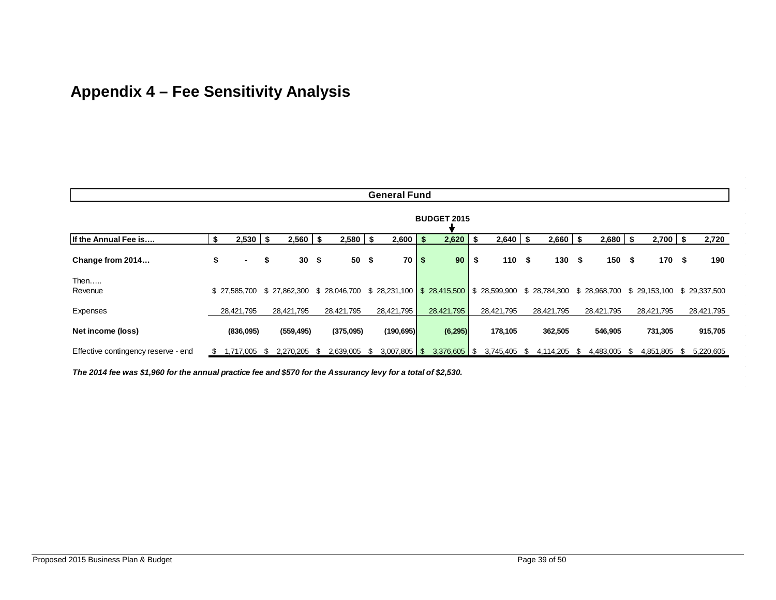# **Appendix 4 – Fee Sensitivity Analysis**

<span id="page-38-0"></span>

| <b>General Fund</b>                 |     |              |     |              |     |              |      |                |      |                 |    |                                                                                                   |              |      |              |          |              |      |            |
|-------------------------------------|-----|--------------|-----|--------------|-----|--------------|------|----------------|------|-----------------|----|---------------------------------------------------------------------------------------------------|--------------|------|--------------|----------|--------------|------|------------|
| <b>BUDGET 2015</b>                  |     |              |     |              |     |              |      |                |      |                 |    |                                                                                                   |              |      |              |          |              |      |            |
| If the Annual Fee is                | \$  | 2,530        | -\$ | 2,560        | -\$ | 2,580        | - \$ | 2,600          | - \$ | 2,620           |    | $2,640$ \$                                                                                        | 2,660        | - \$ | $2,680$   \$ |          | $2,700$ \$   |      | 2,720      |
| Change from 2014                    | \$  | ۰.           | \$  | 30           | \$  | 50           | -\$  | $70$   \$      |      | 90 <sub>o</sub> | S. | 110S                                                                                              | 130S         |      | 150          | - \$     | 170          | - \$ | 190        |
| Then<br>Revenue                     |     | \$27,585,700 |     | \$27.862.300 |     | \$28,046,700 |      |                |      |                 |    | \$ 28,231,100 \$ 28,415,500 \$ 28,599,900 \$ 28,784,300 \$ 28,968,700 \$ 29,153,100 \$ 29,337,500 |              |      |              |          |              |      |            |
| Expenses                            |     | 28,421,795   |     | 28,421,795   |     | 28,421,795   |      | 28,421,795     |      | 28,421,795      |    | 28,421,795                                                                                        | 28,421,795   |      | 28,421,795   |          | 28,421,795   |      | 28,421,795 |
| Net income (loss)                   |     | (836,095)    |     | (559, 495)   |     | (375,095)    |      | (190, 695)     |      | (6, 295)        |    | 178,105                                                                                           | 362,505      |      | 546,905      |          | 731,305      |      | 915,705    |
| Effective contingency reserve - end | \$. | 1,717,005    | S.  | 2,270,205    | -SS | 2,639,005    | S.   | $3,007,805$ \$ |      | $3,376,605$ \$  |    | 3,745,405 \$                                                                                      | 4,114,205 \$ |      | 4,483,005    | <b>S</b> | 4,851,805 \$ |      | 5,220,605  |

*The 2014 fee was \$1,960 for the annual practice fee and \$570 for the Assurancy levy for a total of \$2,530.*

 $\sim$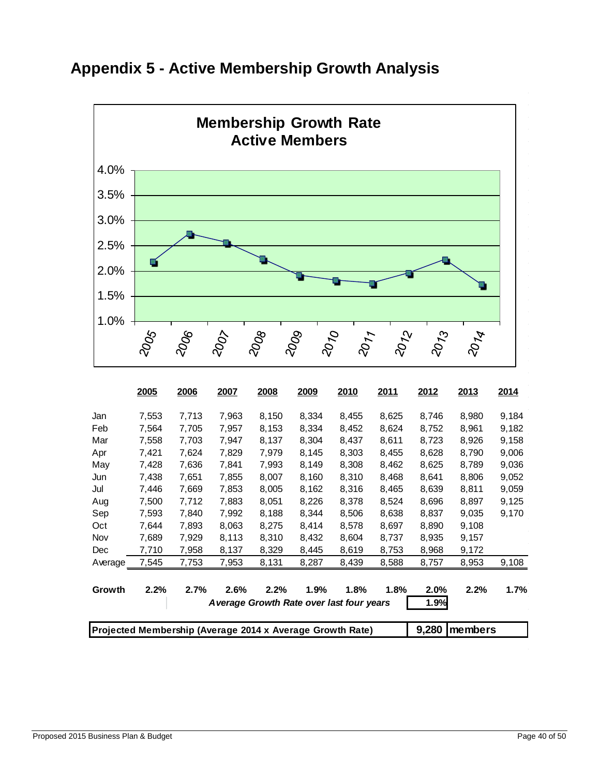

# <span id="page-39-0"></span>**Appendix 5 - Active Membership Growth Analysis**

|                                                           | 2005  | 2006  | 2007  | 2008                                     | 2009  | 2010  | 2011  | 2012  | 2013    | 2014  |
|-----------------------------------------------------------|-------|-------|-------|------------------------------------------|-------|-------|-------|-------|---------|-------|
| Jan                                                       | 7,553 | 7,713 | 7,963 | 8,150                                    | 8,334 | 8,455 | 8,625 | 8,746 | 8,980   | 9,184 |
| Feb                                                       | 7,564 | 7,705 | 7,957 | 8,153                                    | 8,334 | 8,452 | 8,624 | 8,752 | 8,961   | 9,182 |
| Mar                                                       | 7,558 | 7,703 | 7.947 | 8,137                                    | 8,304 | 8,437 | 8,611 | 8.723 | 8,926   | 9,158 |
| Apr                                                       | 7,421 | 7,624 | 7,829 | 7,979                                    | 8,145 | 8,303 | 8,455 | 8,628 | 8,790   | 9,006 |
| May                                                       | 7,428 | 7,636 | 7,841 | 7,993                                    | 8,149 | 8,308 | 8,462 | 8,625 | 8,789   | 9,036 |
| Jun                                                       | 7,438 | 7,651 | 7,855 | 8,007                                    | 8,160 | 8,310 | 8,468 | 8,641 | 8,806   | 9,052 |
| Jul                                                       | 7,446 | 7,669 | 7,853 | 8,005                                    | 8,162 | 8,316 | 8,465 | 8,639 | 8,811   | 9,059 |
| Aug                                                       | 7,500 | 7,712 | 7,883 | 8,051                                    | 8,226 | 8,378 | 8,524 | 8,696 | 8,897   | 9,125 |
| Sep                                                       | 7,593 | 7,840 | 7,992 | 8,188                                    | 8,344 | 8,506 | 8,638 | 8,837 | 9,035   | 9,170 |
| Oct                                                       | 7,644 | 7,893 | 8,063 | 8,275                                    | 8,414 | 8,578 | 8,697 | 8,890 | 9,108   |       |
| Nov                                                       | 7,689 | 7,929 | 8,113 | 8,310                                    | 8,432 | 8,604 | 8,737 | 8,935 | 9,157   |       |
| Dec                                                       | 7,710 | 7,958 | 8,137 | 8,329                                    | 8,445 | 8,619 | 8,753 | 8,968 | 9,172   |       |
| Average                                                   | 7,545 | 7,753 | 7,953 | 8,131                                    | 8,287 | 8,439 | 8,588 | 8,757 | 8,953   | 9,108 |
| Growth                                                    | 2.2%  | 2.7%  | 2.6%  | 2.2%                                     | 1.9%  | 1.8%  | 1.8%  | 2.0%  | 2.2%    | 1.7%  |
|                                                           |       |       |       | Average Growth Rate over last four years |       |       |       | 1.9%  |         |       |
| Projected Membership (Average 2014 x Average Growth Rate) |       |       |       |                                          |       |       |       |       | members |       |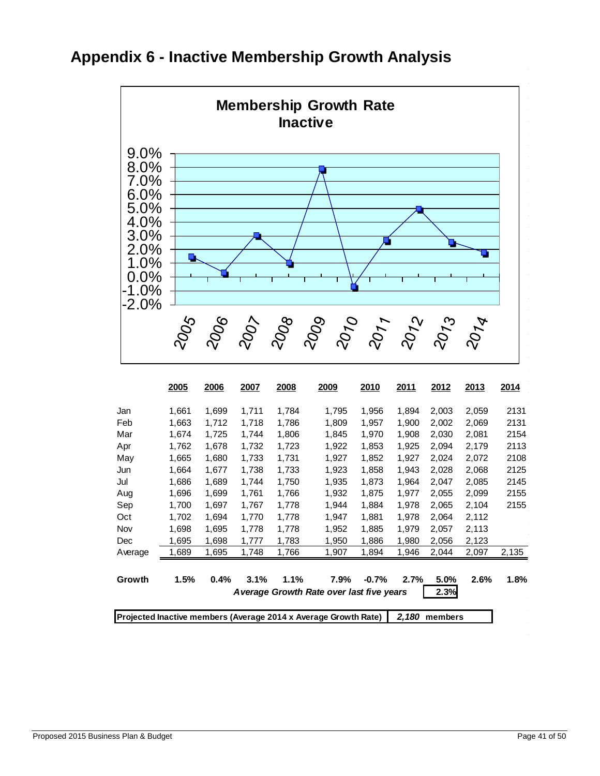

### <span id="page-40-0"></span>**Appendix 6 - Inactive Membership Growth Analysis**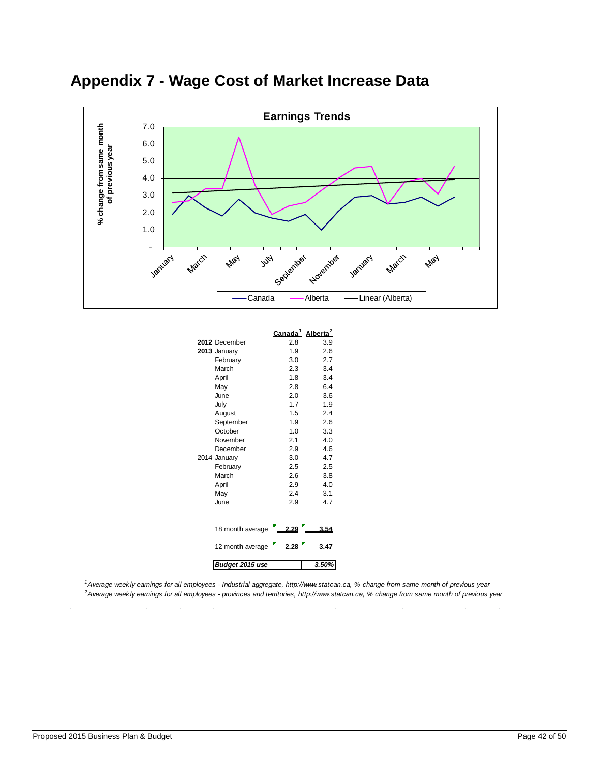<span id="page-41-0"></span>



|                  | <u>Canada<sup>1</sup></u> | Alberta <sup>2</sup> |
|------------------|---------------------------|----------------------|
| 2012 December    | 2.8                       | 3.9                  |
| 2013 January     | 1.9                       | 2.6                  |
| February         | 3.0                       | 2.7                  |
| March            | 2.3                       | 3.4                  |
| April            | 1.8                       | 3.4                  |
| May              | 2.8                       | 6.4                  |
| June             | 2.0                       | 3.6                  |
| July             | 1.7                       | 1.9                  |
| August           | 1.5                       | 2.4                  |
| September        | 1.9                       | 2.6                  |
| October          | 1.0                       | 3.3                  |
| November         | 2.1                       | 4.0                  |
| December         | 2.9                       | 4.6                  |
| 2014 January     | 3.0                       | 4.7                  |
| February         | 2.5                       | 2.5                  |
| March            | 2.6                       | 3.8                  |
| April            | 2.9                       | 4.0                  |
| May              | 2.4                       | 3.1                  |
| June             | 2.9                       | 4.7                  |
|                  |                           |                      |
| 18 month average | 2.29                      | 3.54                 |
| 12 month average | 2.28                      | 3.47                 |
| Budget 2015 use  |                           | 3.50%                |

*1 Average weekly earnings for all employees - Industrial aggregate, http://www.statcan.ca, % change from same month of previous year 2 Average weekly earnings for all employees - provinces and territories, http://www.statcan.ca, % change from same month of previous year*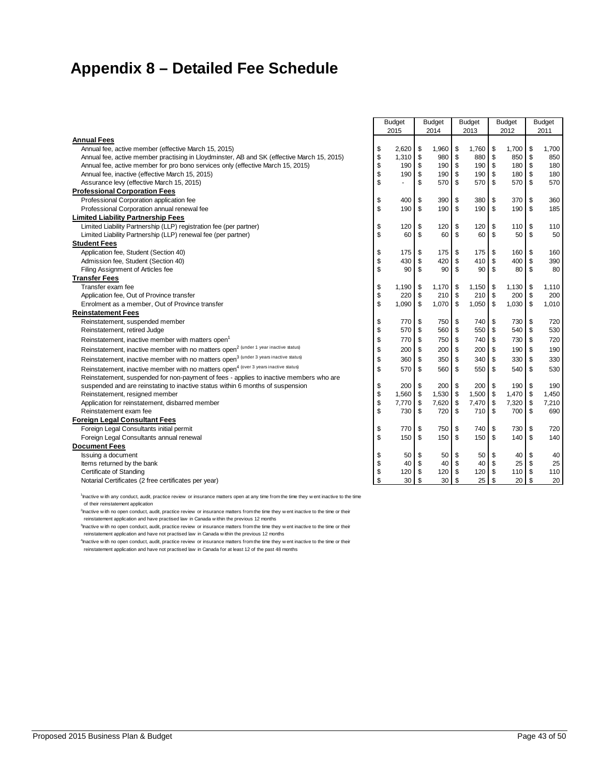# <span id="page-42-0"></span>**Appendix 8 – Detailed Fee Schedule**

|                                                                                                  | <b>Budget</b> |    | <b>Budget</b> |              | <b>Budget</b>   | <b>Budget</b> |        |               | <b>Budget</b> |
|--------------------------------------------------------------------------------------------------|---------------|----|---------------|--------------|-----------------|---------------|--------|---------------|---------------|
|                                                                                                  | 2015          |    | 2014          |              | 2013            |               | 2012   |               | 2011          |
| <b>Annual Fees</b>                                                                               |               |    |               |              |                 |               |        |               |               |
| Annual fee, active member (effective March 15, 2015)                                             | \$<br>2,620   | \$ | 1,960         | \$           | 1,760           | \$            | 1,700  | \$            | 1.700         |
| Annual fee, active member practising in Lloydminster, AB and SK (effective March 15, 2015)       | \$<br>1,310   | \$ | 980           | $\sqrt{3}$   | 880             | \$            | 850    | \$            | 850           |
| Annual fee, active member for pro bono services only (effective March 15, 2015)                  | \$<br>190     | \$ | 190 \$        |              | 190             | \$            | 180    | \$            | 180           |
| Annual fee, inactive (effective March 15, 2015)                                                  | \$<br>190     | \$ | 190 \$        |              | 190             | \$            | 180    | \$            | 180           |
| Assurance levy (effective March 15, 2015)                                                        | \$<br>ä,      | \$ | 570           | - \$         | 570             | \$            | 570    | \$            | 570           |
| <b>Professional Corporation Fees</b>                                                             |               |    |               |              |                 |               |        |               |               |
| Professional Corporation application fee                                                         | \$<br>400     | \$ | 390           | \$           | 380             | \$            | 370    | \$            | 360           |
| Professional Corporation annual renewal fee                                                      | \$<br>190     | \$ | 190           | \$           | 190             | \$            | 190    | \$            | 185           |
| <b>Limited Liability Partnership Fees</b>                                                        |               |    |               |              |                 |               |        |               |               |
| Limited Liability Partnership (LLP) registration fee (per partner)                               | \$<br>120     | \$ | 120           | \$           | 120             | \$            | 110    | \$            | 110           |
| Limited Liability Partnership (LLP) renewal fee (per partner)                                    | \$<br>60      | \$ | 60            | \$           | 60              | \$            | 50     | \$            | 50            |
| <b>Student Fees</b>                                                                              |               |    |               |              |                 |               |        |               |               |
| Application fee, Student (Section 40)                                                            | \$<br>175     | \$ | 175           | \$           | 175             | \$            | 160    | \$            | 160           |
| Admission fee, Student (Section 40)                                                              | \$<br>430     | \$ | 420           | \$           | 410             | \$            | 400    | \$            | 390           |
| Filing Assignment of Articles fee                                                                | \$<br>90      | \$ | 90            | $\mathbf{s}$ | 90 <sub>1</sub> | \$            | 80     | \$            | 80            |
| <b>Transfer Fees</b>                                                                             |               |    |               |              |                 |               |        |               |               |
| Transfer exam fee                                                                                | \$<br>1,190   | \$ | 1,170         | \$           | 1,150           | \$            | 1,130  | \$            | 1,110         |
| Application fee, Out of Province transfer                                                        | \$<br>220     | \$ | $210$ \$      |              | 210             | \$            | 200    | \$            | 200           |
| Enrolment as a member, Out of Province transfer                                                  | \$<br>1,090   | \$ | 1,070         | \$           | 1,050           | \$            | 1,030  | \$            | 1,010         |
| <b>Reinstatement Fees</b>                                                                        |               |    |               |              |                 |               |        |               |               |
| Reinstatement, suspended member                                                                  | \$<br>770     | \$ | 750           | \$           | 740             | \$            | 730    | \$            | 720           |
| Reinstatement, retired Judge                                                                     | \$<br>570     | \$ | 560           | \$           | 550             | \$            | 540    | \$            | 530           |
| Reinstatement, inactive member with matters open                                                 | \$<br>770     | \$ | 750 \$        |              | 740             | \$            | 730    | \$            | 720           |
| Reinstatement, inactive member with no matters open <sup>2</sup> (under 1 year inactive status)  | \$<br>200     | \$ | 200S          |              | 200             | \$            | 190    | \$            | 190           |
| Reinstatement, inactive member with no matters open <sup>3</sup> (under 3 years inactive status) | \$<br>360     | \$ | 350           | \$           | 340             | \$            | 330    | \$            | 330           |
| Reinstatement, inactive member with no matters open <sup>4</sup> (over 3 years inactive status)  | \$<br>570     | \$ | 560 \$        |              | 550             | \$            | 540 \$ |               | 530           |
| Reinstatement, suspended for non-payment of fees - applies to inactive members who are           |               |    |               |              |                 |               |        |               |               |
| suspended and are reinstating to inactive status within 6 months of suspension                   | \$<br>200     | \$ | 200           | \$           | 200             | \$            | 190    | \$            | 190           |
| Reinstatement, resigned member                                                                   | \$<br>1,560   | \$ | $1,530$ \$    |              | 1,500           | \$            | 1,470  | \$            | 1,450         |
| Application for reinstatement, disbarred member                                                  | \$<br>7,770   | \$ | $7,620$ \$    |              | 7,470           | \$            | 7,320  | $\sqrt[6]{2}$ | 7,210         |
| Reinstatement exam fee                                                                           | \$<br>730     | \$ | 720           | \$           | 710             | \$            | 700    | \$            | 690           |
| <b>Foreign Legal Consultant Fees</b>                                                             |               |    |               |              |                 |               |        |               |               |
| Foreign Legal Consultants initial permit                                                         | \$<br>770     | \$ | 750           | \$           | 740             | \$            | 730    | \$            | 720           |
| Foreign Legal Consultants annual renewal                                                         | \$<br>150     | \$ | 150           | \$           | 150             | \$            | 140    | \$            | 140           |
| <b>Document Fees</b>                                                                             |               |    |               |              |                 |               |        |               |               |
| Issuing a document                                                                               | \$<br>50      | \$ | 50            | S            | 50              | \$            | 40     | \$            | 40            |
| Items returned by the bank                                                                       | \$<br>40      | \$ | 40            | \$           | 40              | \$            | 25     | \$            | 25            |
| <b>Certificate of Standing</b>                                                                   | \$<br>120     | \$ | 120           | \$           | 120             | \$            | 110 \$ |               | 110           |
| Notarial Certificates (2 free certificates per year)                                             | \$<br>30      | \$ | 30            | \$           | 25              | \$            | 20     | \$            | 20            |

1 Inactive w ith any conduct, audit, practice review or insurance matters open at any time from the time they w ent inactive to the time of their reinstatement application

<sup>2</sup> hactive w ith no open conduct, audit, practice review or insurance matters from the time they w ent inactive to the time or their reinstatement application and have practised law in Canada w ithin the previous 12 months

<sup>3</sup> hactive w ith no open conduct, audit, practice review or insurance matters from the time they w ent inactive to the time or their reinstatement application and have not practised law in Canada w ithin the previous 12 months

4 Inactive w ith no open conduct, audit, practice review or insurance matters from the time they w ent inactive to the time or their reinstatement application and have not practised law in Canada for at least 12 of the past 48 months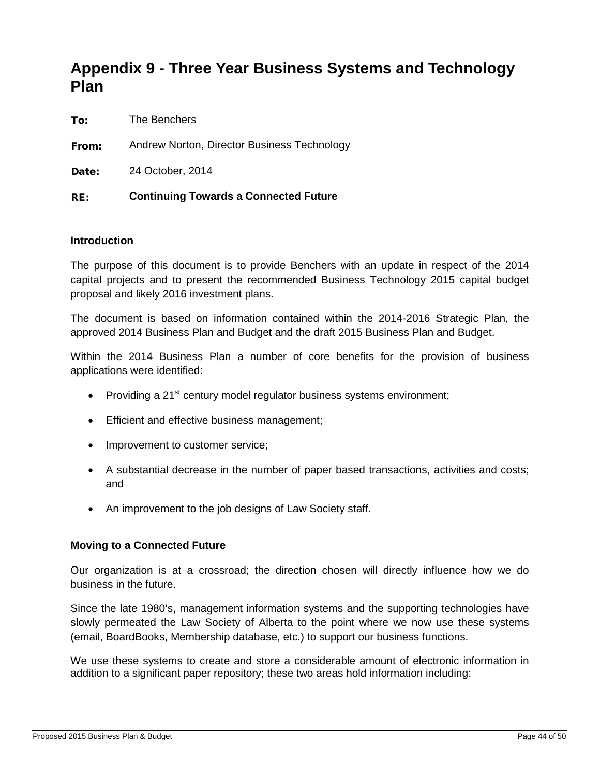# <span id="page-43-0"></span>**Appendix 9 - Three Year Business Systems and Technology Plan**

To: The Benchers

From: Andrew Norton, Director Business Technology

Date: 24 October, 2014

#### RE: **Continuing Towards a Connected Future**

#### **Introduction**

The purpose of this document is to provide Benchers with an update in respect of the 2014 capital projects and to present the recommended Business Technology 2015 capital budget proposal and likely 2016 investment plans.

The document is based on information contained within the 2014-2016 Strategic Plan, the approved 2014 Business Plan and Budget and the draft 2015 Business Plan and Budget.

Within the 2014 Business Plan a number of core benefits for the provision of business applications were identified:

- Providing a 21<sup>st</sup> century model regulator business systems environment:
- Efficient and effective business management;
- Improvement to customer service;
- A substantial decrease in the number of paper based transactions, activities and costs; and
- An improvement to the job designs of Law Society staff.

#### **Moving to a Connected Future**

Our organization is at a crossroad; the direction chosen will directly influence how we do business in the future.

Since the late 1980's, management information systems and the supporting technologies have slowly permeated the Law Society of Alberta to the point where we now use these systems (email, BoardBooks, Membership database, etc.) to support our business functions.

We use these systems to create and store a considerable amount of electronic information in addition to a significant paper repository; these two areas hold information including: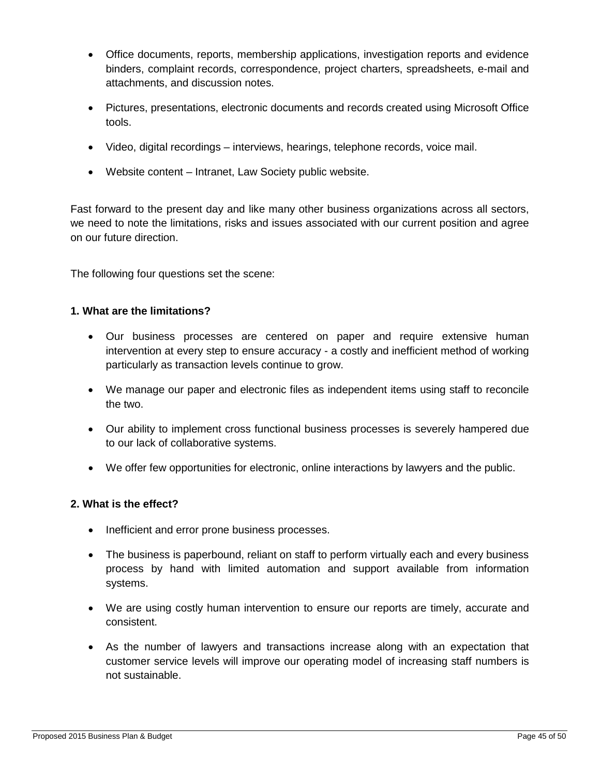- Office documents, reports, membership applications, investigation reports and evidence binders, complaint records, correspondence, project charters, spreadsheets, e-mail and attachments, and discussion notes.
- Pictures, presentations, electronic documents and records created using Microsoft Office tools.
- Video, digital recordings interviews, hearings, telephone records, voice mail.
- Website content Intranet, Law Society public website.

Fast forward to the present day and like many other business organizations across all sectors, we need to note the limitations, risks and issues associated with our current position and agree on our future direction.

The following four questions set the scene:

#### **1. What are the limitations?**

- Our business processes are centered on paper and require extensive human intervention at every step to ensure accuracy - a costly and inefficient method of working particularly as transaction levels continue to grow.
- We manage our paper and electronic files as independent items using staff to reconcile the two.
- Our ability to implement cross functional business processes is severely hampered due to our lack of collaborative systems.
- We offer few opportunities for electronic, online interactions by lawyers and the public.

#### **2. What is the effect?**

- Inefficient and error prone business processes.
- The business is paperbound, reliant on staff to perform virtually each and every business process by hand with limited automation and support available from information systems.
- We are using costly human intervention to ensure our reports are timely, accurate and consistent.
- As the number of lawyers and transactions increase along with an expectation that customer service levels will improve our operating model of increasing staff numbers is not sustainable.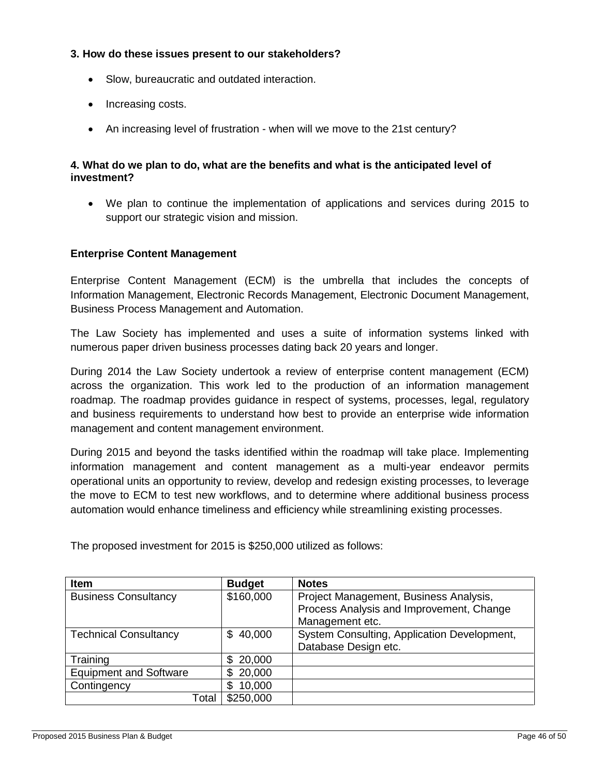#### **3. How do these issues present to our stakeholders?**

- Slow, bureaucratic and outdated interaction.
- Increasing costs.
- An increasing level of frustration when will we move to the 21st century?

#### **4. What do we plan to do, what are the benefits and what is the anticipated level of investment?**

• We plan to continue the implementation of applications and services during 2015 to support our strategic vision and mission.

#### **Enterprise Content Management**

Enterprise Content Management (ECM) is the umbrella that includes the concepts of Information Management, Electronic Records Management, Electronic Document Management, Business Process Management and Automation.

The Law Society has implemented and uses a suite of information systems linked with numerous paper driven business processes dating back 20 years and longer.

During 2014 the Law Society undertook a review of enterprise content management (ECM) across the organization. This work led to the production of an information management roadmap. The roadmap provides guidance in respect of systems, processes, legal, regulatory and business requirements to understand how best to provide an enterprise wide information management and content management environment.

During 2015 and beyond the tasks identified within the roadmap will take place. Implementing information management and content management as a multi-year endeavor permits operational units an opportunity to review, develop and redesign existing processes, to leverage the move to ECM to test new workflows, and to determine where additional business process automation would enhance timeliness and efficiency while streamlining existing processes.

**If the Manufacturer Contract Except Budget Notes** Business Consultancy **\$160,000** Project Management, Business Analysis, Process Analysis and Improvement, Change Management etc. Technical Consultancy **\$40,000 System Consulting, Application Development,** Database Design etc. Training <br>Equipment and Software \$ 20,000 Equipment and Software Contingency \$ 10,000 Total | \$250,000

The proposed investment for 2015 is \$250,000 utilized as follows: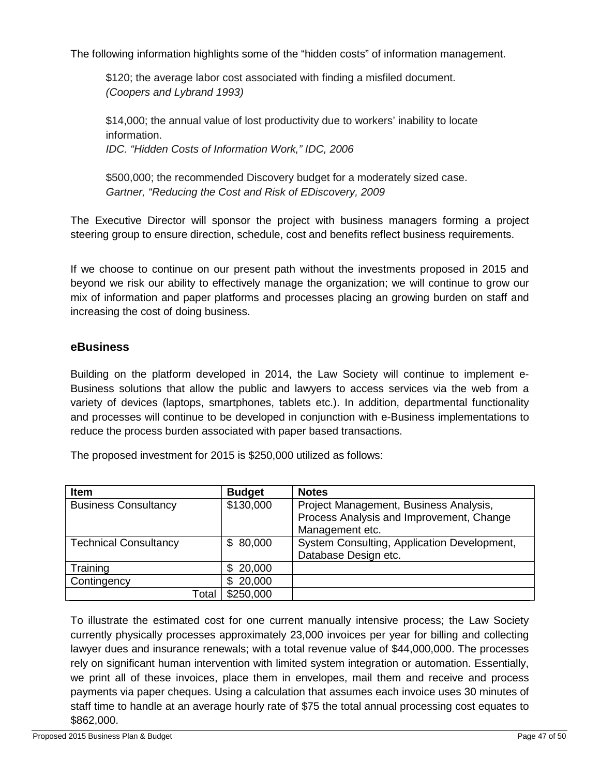The following information highlights some of the "hidden costs" of information management.

\$120; the average labor cost associated with finding a misfiled document. *(Coopers and Lybrand 1993)*

\$14,000; the annual value of lost productivity due to workers' inability to locate information. *IDC. "Hidden Costs of Information Work," IDC, 2006*

\$500,000; the recommended Discovery budget for a moderately sized case. *Gartner, "Reducing the Cost and Risk of EDiscovery, 2009*

The Executive Director will sponsor the project with business managers forming a project steering group to ensure direction, schedule, cost and benefits reflect business requirements.

If we choose to continue on our present path without the investments proposed in 2015 and beyond we risk our ability to effectively manage the organization; we will continue to grow our mix of information and paper platforms and processes placing an growing burden on staff and increasing the cost of doing business.

#### **eBusiness**

Building on the platform developed in 2014, the Law Society will continue to implement e-Business solutions that allow the public and lawyers to access services via the web from a variety of devices (laptops, smartphones, tablets etc.). In addition, departmental functionality and processes will continue to be developed in conjunction with e-Business implementations to reduce the process burden associated with paper based transactions.

The proposed investment for 2015 is \$250,000 utilized as follows:

| <b>Item</b>                  | <b>Budget</b> | <b>Notes</b>                                |
|------------------------------|---------------|---------------------------------------------|
| <b>Business Consultancy</b>  | \$130,000     | Project Management, Business Analysis,      |
|                              |               | Process Analysis and Improvement, Change    |
|                              |               | Management etc.                             |
| <b>Technical Consultancy</b> | \$80,000      | System Consulting, Application Development, |
|                              |               | Database Design etc.                        |
| Training                     | 20,000<br>SS. |                                             |
| Contingency                  | 20,000<br>\$. |                                             |
| Total                        | \$250,000     |                                             |

To illustrate the estimated cost for one current manually intensive process; the Law Society currently physically processes approximately 23,000 invoices per year for billing and collecting lawyer dues and insurance renewals; with a total revenue value of \$44,000,000. The processes rely on significant human intervention with limited system integration or automation. Essentially, we print all of these invoices, place them in envelopes, mail them and receive and process payments via paper cheques. Using a calculation that assumes each invoice uses 30 minutes of staff time to handle at an average hourly rate of \$75 the total annual processing cost equates to \$862,000.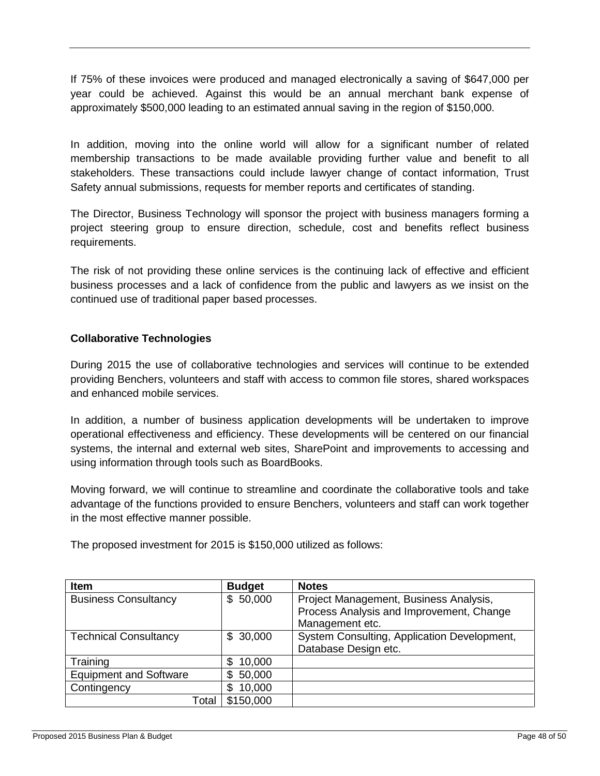If 75% of these invoices were produced and managed electronically a saving of \$647,000 per year could be achieved. Against this would be an annual merchant bank expense of approximately \$500,000 leading to an estimated annual saving in the region of \$150,000.

In addition, moving into the online world will allow for a significant number of related membership transactions to be made available providing further value and benefit to all stakeholders. These transactions could include lawyer change of contact information, Trust Safety annual submissions, requests for member reports and certificates of standing.

The Director, Business Technology will sponsor the project with business managers forming a project steering group to ensure direction, schedule, cost and benefits reflect business requirements.

The risk of not providing these online services is the continuing lack of effective and efficient business processes and a lack of confidence from the public and lawyers as we insist on the continued use of traditional paper based processes.

#### **Collaborative Technologies**

During 2015 the use of collaborative technologies and services will continue to be extended providing Benchers, volunteers and staff with access to common file stores, shared workspaces and enhanced mobile services.

In addition, a number of business application developments will be undertaken to improve operational effectiveness and efficiency. These developments will be centered on our financial systems, the internal and external web sites, SharePoint and improvements to accessing and using information through tools such as BoardBooks.

Moving forward, we will continue to streamline and coordinate the collaborative tools and take advantage of the functions provided to ensure Benchers, volunteers and staff can work together in the most effective manner possible.

The proposed investment for 2015 is \$150,000 utilized as follows:

| <b>Item</b>                   | <b>Budget</b> | <b>Notes</b>                                |  |  |  |  |
|-------------------------------|---------------|---------------------------------------------|--|--|--|--|
| <b>Business Consultancy</b>   | \$50,000      | Project Management, Business Analysis,      |  |  |  |  |
|                               |               | Process Analysis and Improvement, Change    |  |  |  |  |
|                               |               | Management etc.                             |  |  |  |  |
| <b>Technical Consultancy</b>  | \$30,000      | System Consulting, Application Development, |  |  |  |  |
|                               |               | Database Design etc.                        |  |  |  |  |
| Training                      | 10,000<br>S   |                                             |  |  |  |  |
| <b>Equipment and Software</b> | 50,000<br>\$  |                                             |  |  |  |  |
| Contingency                   | 10,000<br>\$  |                                             |  |  |  |  |
| Total                         | \$150,000     |                                             |  |  |  |  |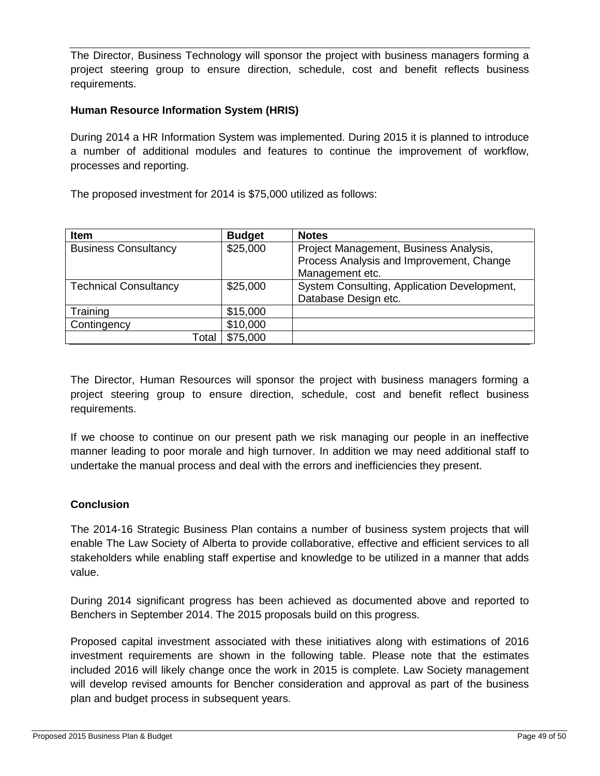The Director, Business Technology will sponsor the project with business managers forming a project steering group to ensure direction, schedule, cost and benefit reflects business requirements.

#### **Human Resource Information System (HRIS)**

During 2014 a HR Information System was implemented. During 2015 it is planned to introduce a number of additional modules and features to continue the improvement of workflow, processes and reporting.

The proposed investment for 2014 is \$75,000 utilized as follows:

| <b>Item</b>                  | <b>Budget</b> | <b>Notes</b>                                |
|------------------------------|---------------|---------------------------------------------|
| <b>Business Consultancy</b>  | \$25,000      | Project Management, Business Analysis,      |
|                              |               | Process Analysis and Improvement, Change    |
|                              |               | Management etc.                             |
| <b>Technical Consultancy</b> | \$25,000      | System Consulting, Application Development, |
|                              |               | Database Design etc.                        |
| Training                     | \$15,000      |                                             |
| Contingency                  | \$10,000      |                                             |
| Total                        | \$75,000      |                                             |

The Director, Human Resources will sponsor the project with business managers forming a project steering group to ensure direction, schedule, cost and benefit reflect business requirements.

If we choose to continue on our present path we risk managing our people in an ineffective manner leading to poor morale and high turnover. In addition we may need additional staff to undertake the manual process and deal with the errors and inefficiencies they present.

#### **Conclusion**

The 2014-16 Strategic Business Plan contains a number of business system projects that will enable The Law Society of Alberta to provide collaborative, effective and efficient services to all stakeholders while enabling staff expertise and knowledge to be utilized in a manner that adds value.

During 2014 significant progress has been achieved as documented above and reported to Benchers in September 2014. The 2015 proposals build on this progress.

Proposed capital investment associated with these initiatives along with estimations of 2016 investment requirements are shown in the following table. Please note that the estimates included 2016 will likely change once the work in 2015 is complete. Law Society management will develop revised amounts for Bencher consideration and approval as part of the business plan and budget process in subsequent years.